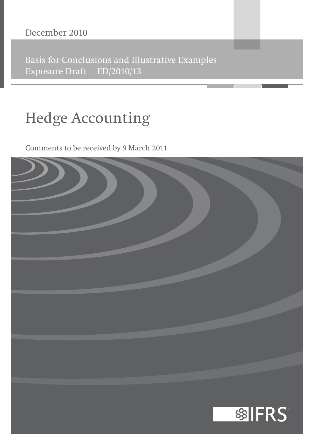**Basis for Conclusions and Illustrative Examples** Exposure Draft ED/2010/13

# **Hedge Accounting**

Comments to be received by 9 March 2011

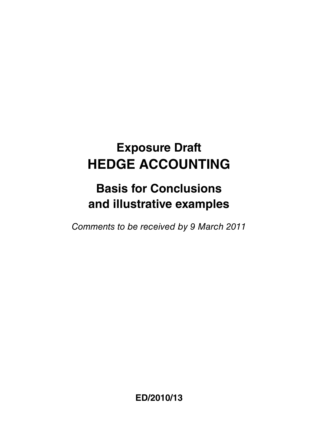# **Exposure Draft HEDGE ACCOUNTING**

## **Basis for Conclusions and illustrative examples**

Comments to be received by 9 March 2011

**ED/2010/13**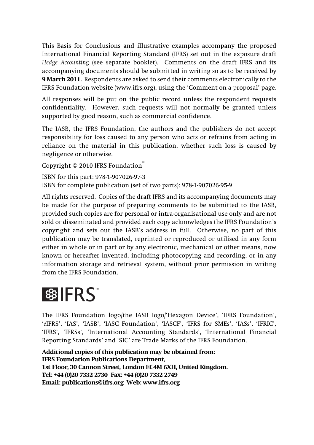This Basis for Conclusions and illustrative examples accompany the proposed International Financial Reporting Standard (IFRS) set out in the exposure draft *Hedge Accounting* (see separate booklet). Comments on the draft IFRS and its accompanying documents should be submitted in writing so as to be received by **9 March 2011.** Respondents are asked to send their comments electronically to the IFRS Foundation website (www.ifrs.org), using the 'Comment on a proposal' page.

All responses will be put on the public record unless the respondent requests confidentiality. However, such requests will not normally be granted unless supported by good reason, such as commercial confidence.

The IASB, the IFRS Foundation, the authors and the publishers do not accept responsibility for loss caused to any person who acts or refrains from acting in reliance on the material in this publication, whether such loss is caused by negligence or otherwise.

```
Copyright © 2010 IFRS Foundation®
```

```
ISBN for this part: 978-1-907026-97-3
ISBN for complete publication (set of two parts): 978-1-907026-95-9
```
All rights reserved. Copies of the draft IFRS and its accompanying documents may be made for the purpose of preparing comments to be submitted to the IASB, provided such copies are for personal or intra-organisational use only and are not sold or disseminated and provided each copy acknowledges the IFRS Foundation's copyright and sets out the IASB's address in full. Otherwise, no part of this publication may be translated, reprinted or reproduced or utilised in any form either in whole or in part or by any electronic, mechanical or other means, now known or hereafter invented, including photocopying and recording, or in any information storage and retrieval system, without prior permission in writing from the IFRS Foundation.

# 图 IFRS

The IFRS Foundation logo/the IASB logo/'Hexagon Device', 'IFRS Foundation', '*e*IFRS', 'IAS', 'IASB', 'IASC Foundation', 'IASCF', 'IFRS for SMEs', 'IASs', 'IFRIC', 'IFRS', 'IFRSs', 'International Accounting Standards', 'International Financial Reporting Standards' and 'SIC' are Trade Marks of the IFRS Foundation.

**Additional copies of this publication may be obtained from: IFRS Foundation Publications Department, 1st Floor, 30 Cannon Street, London EC4M 6XH, United Kingdom. Tel: +44 (0)20 7332 2730 Fax: +44 (0)20 7332 2749 Email: publications@ifrs.org Web: www.ifrs.org**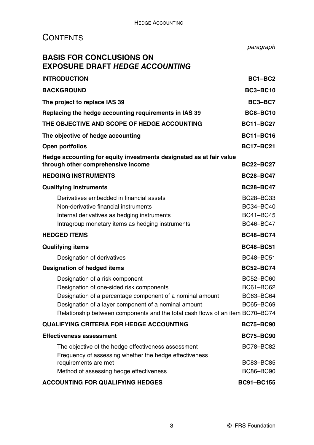## **CONTENTS**

|                                                                                                                                                                                                                                                                                   | paragraph                                                             |
|-----------------------------------------------------------------------------------------------------------------------------------------------------------------------------------------------------------------------------------------------------------------------------------|-----------------------------------------------------------------------|
| <b>BASIS FOR CONCLUSIONS ON</b><br><b>EXPOSURE DRAFT HEDGE ACCOUNTING</b>                                                                                                                                                                                                         |                                                                       |
| <b>INTRODUCTION</b>                                                                                                                                                                                                                                                               | BC1-BC2                                                               |
| <b>BACKGROUND</b>                                                                                                                                                                                                                                                                 | <b>BC3-BC10</b>                                                       |
| The project to replace IAS 39                                                                                                                                                                                                                                                     | BC3-BC7                                                               |
| Replacing the hedge accounting requirements in IAS 39                                                                                                                                                                                                                             | <b>BC8-BC10</b>                                                       |
| THE OBJECTIVE AND SCOPE OF HEDGE ACCOUNTING                                                                                                                                                                                                                                       | <b>BC11-BC27</b>                                                      |
| The objective of hedge accounting                                                                                                                                                                                                                                                 | <b>BC11-BC16</b>                                                      |
| Open portfolios                                                                                                                                                                                                                                                                   | <b>BC17-BC21</b>                                                      |
| Hedge accounting for equity investments designated as at fair value<br>through other comprehensive income                                                                                                                                                                         | <b>BC22-BC27</b>                                                      |
| <b>HEDGING INSTRUMENTS</b>                                                                                                                                                                                                                                                        | <b>BC28-BC47</b>                                                      |
| <b>Qualifying instruments</b>                                                                                                                                                                                                                                                     | <b>BC28-BC47</b>                                                      |
| Derivatives embedded in financial assets<br>Non-derivative financial instruments<br>Internal derivatives as hedging instruments<br>Intragroup monetary items as hedging instruments                                                                                               | BC28-BC33<br><b>BC34-BC40</b><br><b>BC41-BC45</b><br><b>BC46-BC47</b> |
| <b>HEDGED ITEMS</b>                                                                                                                                                                                                                                                               | <b>BC48-BC74</b>                                                      |
| <b>Qualifying items</b>                                                                                                                                                                                                                                                           | <b>BC48-BC51</b>                                                      |
| Designation of derivatives                                                                                                                                                                                                                                                        | BC48-BC51                                                             |
| Designation of hedged items                                                                                                                                                                                                                                                       | <b>BC52-BC74</b>                                                      |
| Designation of a risk component<br>Designation of one-sided risk components<br>Designation of a percentage component of a nominal amount<br>Designation of a layer component of a nominal amount<br>Relationship between components and the total cash flows of an item BC70-BC74 | BC52-BC60<br>BC61-BC62<br>BC63-BC64<br><b>BC65-BC69</b>               |
| QUALIFYING CRITERIA FOR HEDGE ACCOUNTING                                                                                                                                                                                                                                          | <b>BC75-BC90</b>                                                      |
| <b>Effectiveness assessment</b>                                                                                                                                                                                                                                                   | <b>BC75-BC90</b>                                                      |
| The objective of the hedge effectiveness assessment<br>Frequency of assessing whether the hedge effectiveness                                                                                                                                                                     | <b>BC78-BC82</b>                                                      |
| requirements are met<br>Method of assessing hedge effectiveness                                                                                                                                                                                                                   | <b>BC83-BC85</b><br><b>BC86-BC90</b>                                  |
| <b>ACCOUNTING FOR QUALIFYING HEDGES</b>                                                                                                                                                                                                                                           | <b>BC91-BC155</b>                                                     |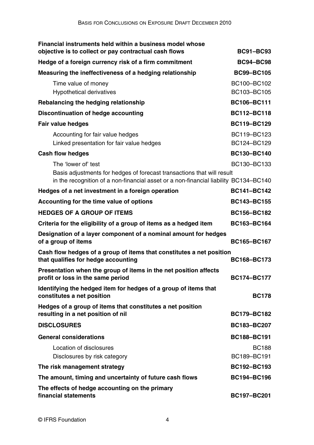| Financial instruments held within a business model whose<br>objective is to collect or pay contractual cash flows | <b>BC91-BC93</b>            |
|-------------------------------------------------------------------------------------------------------------------|-----------------------------|
| Hedge of a foreign currency risk of a firm commitment                                                             | <b>BC94-BC98</b>            |
| Measuring the ineffectiveness of a hedging relationship                                                           | <b>BC99-BC105</b>           |
| Time value of money                                                                                               | BC100-BC102                 |
| Hypothetical derivatives                                                                                          | BC103-BC105                 |
| Rebalancing the hedging relationship                                                                              | BC106-BC111                 |
| Discontinuation of hedge accounting                                                                               | BC112-BC118                 |
| Fair value hedges                                                                                                 | <b>BC119-BC129</b>          |
| Accounting for fair value hedges<br>Linked presentation for fair value hedges                                     | BC119-BC123<br>BC124-BC129  |
| <b>Cash flow hedges</b>                                                                                           | <b>BC130-BC140</b>          |
| The 'lower of' test                                                                                               | BC130-BC133                 |
| Basis adjustments for hedges of forecast transactions that will result                                            |                             |
| in the recognition of a non-financial asset or a non-financial liability BC134-BC140                              |                             |
| Hedges of a net investment in a foreign operation                                                                 | <b>BC141-BC142</b>          |
| Accounting for the time value of options                                                                          | <b>BC143-BC155</b>          |
| <b>HEDGES OF A GROUP OF ITEMS</b>                                                                                 | <b>BC156-BC182</b>          |
| Criteria for the eligibility of a group of items as a hedged item                                                 | BC163-BC164                 |
| Designation of a layer component of a nominal amount for hedges<br>of a group of items                            | BC165-BC167                 |
| Cash flow hedges of a group of items that constitutes a net position<br>that qualifies for hedge accounting       | <b>BC168-BC173</b>          |
| Presentation when the group of items in the net position affects<br>profit or loss in the same period             | <b>BC174-BC177</b>          |
| Identifying the hedged item for hedges of a group of items that<br>constitutes a net position                     | <b>BC178</b>                |
| Hedges of a group of items that constitutes a net position<br>resulting in a net position of nil                  | <b>BC179-BC182</b>          |
| <b>DISCLOSURES</b>                                                                                                | <b>BC183-BC207</b>          |
| <b>General considerations</b>                                                                                     | BC188-BC191                 |
| Location of disclosures<br>Disclosures by risk category                                                           | <b>BC188</b><br>BC189-BC191 |
| The risk management strategy                                                                                      | <b>BC192-BC193</b>          |
| The amount, timing and uncertainty of future cash flows                                                           | <b>BC194-BC196</b>          |
| The effects of hedge accounting on the primary<br>financial statements                                            | <b>BC197-BC201</b>          |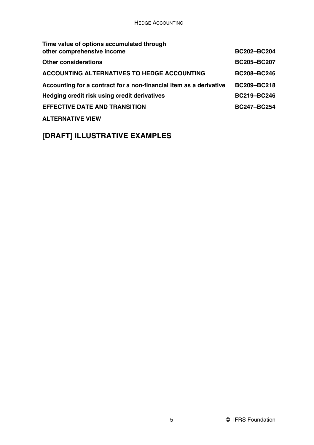| Time value of options accumulated through<br>other comprehensive income | BC202-BC204        |
|-------------------------------------------------------------------------|--------------------|
| <b>Other considerations</b>                                             | <b>BC205-BC207</b> |
| ACCOUNTING ALTERNATIVES TO HEDGE ACCOUNTING                             | BC208-BC246        |
| Accounting for a contract for a non-financial item as a derivative      | BC209-BC218        |
| Hedging credit risk using credit derivatives                            | BC219-BC246        |
| <b>EFFECTIVE DATE AND TRANSITION</b>                                    | <b>BC247-BC254</b> |
| <b>ALTERNATIVE VIEW</b>                                                 |                    |

## **[DRAFT] ILLUSTRATIVE EXAMPLES**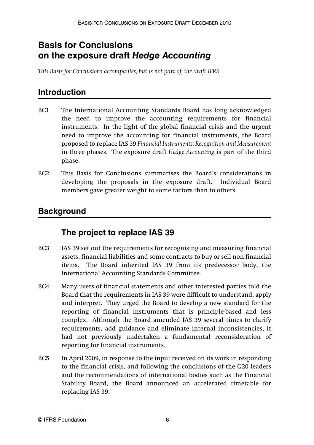## **Basis for Conclusions on the exposure draft** *Hedge Accounting*

*This Basis for Conclusions accompanies, but is not part of, the draft IFRS.*

## **Introduction**

- BC1 The International Accounting Standards Board has long acknowledged the need to improve the accounting requirements for financial instruments. In the light of the global financial crisis and the urgent need to improve the accounting for financial instruments, the Board proposed to replace IAS 39 *Financial Instruments: Recognition and Measurement* in three phases. The exposure draft *Hedge Accounting* is part of the third phase.
- BC2 This Basis for Conclusions summarises the Board's considerations in developing the proposals in the exposure draft. Individual Board members gave greater weight to some factors than to others.

#### **Background**

#### **The project to replace IAS 39**

- BC3 IAS 39 set out the requirements for recognising and measuring financial assets, financial liabilities and some contracts to buy or sell non-financial items. The Board inherited IAS 39 from its predecessor body, the International Accounting Standards Committee.
- BC4 Many users of financial statements and other interested parties told the Board that the requirements in IAS 39 were difficult to understand, apply and interpret. They urged the Board to develop a new standard for the reporting of financial instruments that is principle-based and less complex. Although the Board amended IAS 39 several times to clarify requirements, add guidance and eliminate internal inconsistencies, it had not previously undertaken a fundamental reconsideration of reporting for financial instruments.
- BC5 In April 2009, in response to the input received on its work in responding to the financial crisis, and following the conclusions of the G20 leaders and the recommendations of international bodies such as the Financial Stability Board, the Board announced an accelerated timetable for replacing IAS 39.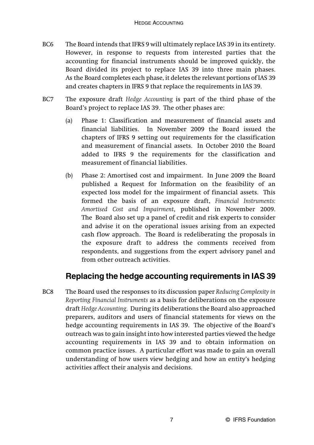- BC6 The Board intends that IFRS 9 will ultimately replace IAS 39 in its entirety. However, in response to requests from interested parties that the accounting for financial instruments should be improved quickly, the Board divided its project to replace IAS 39 into three main phases. As the Board completes each phase, it deletes the relevant portions of IAS 39 and creates chapters in IFRS 9 that replace the requirements in IAS 39.
- BC7 The exposure draft *Hedge Accounting* is part of the third phase of the Board's project to replace IAS 39. The other phases are:
	- (a) Phase 1: Classification and measurement of financial assets and financial liabilities. In November 2009 the Board issued the chapters of IFRS 9 setting out requirements for the classification and measurement of financial assets. In October 2010 the Board added to IFRS 9 the requirements for the classification and measurement of financial liabilities.
	- (b) Phase 2: Amortised cost and impairment. In June 2009 the Board published a Request for Information on the feasibility of an expected loss model for the impairment of financial assets. This formed the basis of an exposure draft, *Financial Instruments: Amortised Cost and Impairment*, published in November 2009. The Board also set up a panel of credit and risk experts to consider and advise it on the operational issues arising from an expected cash flow approach. The Board is redeliberating the proposals in the exposure draft to address the comments received from respondents, and suggestions from the expert advisory panel and from other outreach activities.

## **Replacing the hedge accounting requirements in IAS 39**

BC8 The Board used the responses to its discussion paper *Reducing Complexity in Reporting Financial Instruments* as a basis for deliberations on the exposure draft *Hedge Accounting.* During its deliberations the Board also approached preparers, auditors and users of financial statements for views on the hedge accounting requirements in IAS 39. The objective of the Board's outreach was to gain insight into how interested parties viewed the hedge accounting requirements in IAS 39 and to obtain information on common practice issues. A particular effort was made to gain an overall understanding of how users view hedging and how an entity's hedging activities affect their analysis and decisions.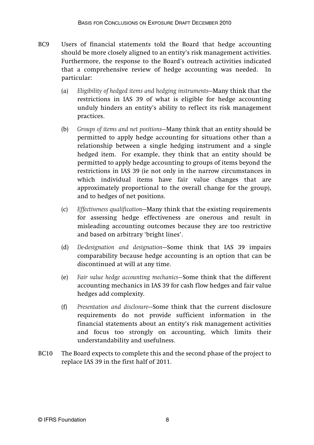- BC9 Users of financial statements told the Board that hedge accounting should be more closely aligned to an entity's risk management activities. Furthermore, the response to the Board's outreach activities indicated that a comprehensive review of hedge accounting was needed. In particular:
	- (a) *Eligibility of hedged items and hedging instruments*—Many think that the restrictions in IAS 39 of what is eligible for hedge accounting unduly hinders an entity's ability to reflect its risk management practices.
	- (b) *Groups of items and net positions—*Many think that an entity should be permitted to apply hedge accounting for situations other than a relationship between a single hedging instrument and a single hedged item. For example, they think that an entity should be permitted to apply hedge accounting to groups of items beyond the restrictions in IAS 39 (ie not only in the narrow circumstances in which individual items have fair value changes that are approximately proportional to the overall change for the group), and to hedges of net positions.
	- (c) *Effectiveness qualification*—Many think that the existing requirements for assessing hedge effectiveness are onerous and result in misleading accounting outcomes because they are too restrictive and based on arbitrary 'bright lines'.
	- (d) *De-designation and designation*—Some think that IAS 39 impairs comparability because hedge accounting is an option that can be discontinued at will at any time.
	- (e) *Fair value hedge accounting mechanics—*Some think that the different accounting mechanics in IAS 39 for cash flow hedges and fair value hedges add complexity.
	- (f) *Presentation and disclosure*—Some think that the current disclosure requirements do not provide sufficient information in the financial statements about an entity's risk management activities and focus too strongly on accounting, which limits their understandability and usefulness.
- BC10 The Board expects to complete this and the second phase of the project to replace IAS 39 in the first half of 2011.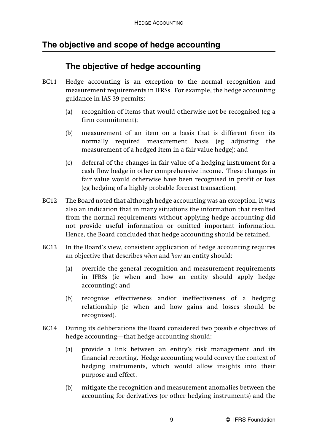## **The objective and scope of hedge accounting**

## **The objective of hedge accounting**

- BC11 Hedge accounting is an exception to the normal recognition and measurement requirements in IFRSs. For example, the hedge accounting guidance in IAS 39 permits:
	- (a) recognition of items that would otherwise not be recognised (eg a firm commitment);
	- (b) measurement of an item on a basis that is different from its normally required measurement basis (eg adjusting the measurement of a hedged item in a fair value hedge); and
	- (c) deferral of the changes in fair value of a hedging instrument for a cash flow hedge in other comprehensive income. These changes in fair value would otherwise have been recognised in profit or loss (eg hedging of a highly probable forecast transaction).
- BC12 The Board noted that although hedge accounting was an exception, it was also an indication that in many situations the information that resulted from the normal requirements without applying hedge accounting did not provide useful information or omitted important information. Hence, the Board concluded that hedge accounting should be retained.
- BC13 In the Board's view, consistent application of hedge accounting requires an objective that describes *when* and *how* an entity should:
	- (a) override the general recognition and measurement requirements in IFRSs (ie when and how an entity should apply hedge accounting); and
	- (b) recognise effectiveness and/or ineffectiveness of a hedging relationship (ie when and how gains and losses should be recognised).
- BC14 During its deliberations the Board considered two possible objectives of hedge accounting—that hedge accounting should:
	- (a) provide a link between an entity's risk management and its financial reporting. Hedge accounting would convey the context of hedging instruments, which would allow insights into their purpose and effect.
	- (b) mitigate the recognition and measurement anomalies between the accounting for derivatives (or other hedging instruments) and the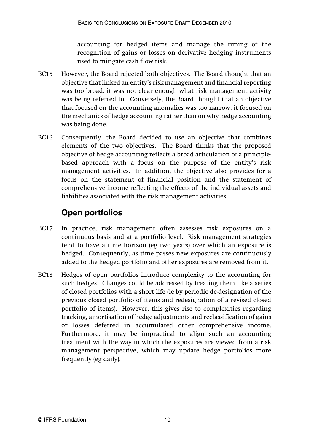accounting for hedged items and manage the timing of the recognition of gains or losses on derivative hedging instruments used to mitigate cash flow risk.

- BC15 However, the Board rejected both objectives. The Board thought that an objective that linked an entity's risk management and financial reporting was too broad: it was not clear enough what risk management activity was being referred to. Conversely, the Board thought that an objective that focused on the accounting anomalies was too narrow: it focused on the mechanics of hedge accounting rather than on why hedge accounting was being done.
- BC16 Consequently, the Board decided to use an objective that combines elements of the two objectives. The Board thinks that the proposed objective of hedge accounting reflects a broad articulation of a principlebased approach with a focus on the purpose of the entity's risk management activities. In addition, the objective also provides for a focus on the statement of financial position and the statement of comprehensive income reflecting the effects of the individual assets and liabilities associated with the risk management activities.

## **Open portfolios**

- BC17 In practice, risk management often assesses risk exposures on a continuous basis and at a portfolio level. Risk management strategies tend to have a time horizon (eg two years) over which an exposure is hedged. Consequently, as time passes new exposures are continuously added to the hedged portfolio and other exposures are removed from it.
- BC18 Hedges of open portfolios introduce complexity to the accounting for such hedges. Changes could be addressed by treating them like a series of closed portfolios with a short life (ie by periodic de-designation of the previous closed portfolio of items and redesignation of a revised closed portfolio of items). However, this gives rise to complexities regarding tracking, amortisation of hedge adjustments and reclassification of gains or losses deferred in accumulated other comprehensive income. Furthermore, it may be impractical to align such an accounting treatment with the way in which the exposures are viewed from a risk management perspective, which may update hedge portfolios more frequently (eg daily).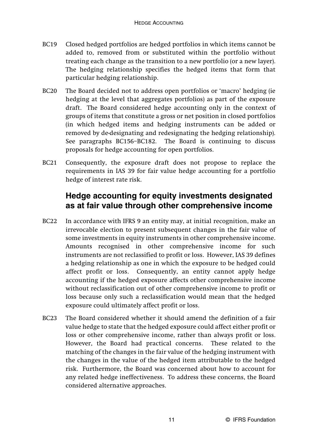- BC19 Closed hedged portfolios are hedged portfolios in which items cannot be added to, removed from or substituted within the portfolio without treating each change as the transition to a new portfolio (or a new layer). The hedging relationship specifies the hedged items that form that particular hedging relationship.
- BC20 The Board decided not to address open portfolios or 'macro' hedging (ie hedging at the level that aggregates portfolios) as part of the exposure draft. The Board considered hedge accounting only in the context of groups of items that constitute a gross or net position in closed portfolios (in which hedged items and hedging instruments can be added or removed by de-designating and redesignating the hedging relationship). See paragraphs BC156–BC182. The Board is continuing to discuss proposals for hedge accounting for open portfolios.
- BC21 Consequently, the exposure draft does not propose to replace the requirements in IAS 39 for fair value hedge accounting for a portfolio hedge of interest rate risk.

## **Hedge accounting for equity investments designated as at fair value through other comprehensive income**

- BC22 In accordance with IFRS 9 an entity may, at initial recognition, make an irrevocable election to present subsequent changes in the fair value of some investments in equity instruments in other comprehensive income. Amounts recognised in other comprehensive income for such instruments are not reclassified to profit or loss. However, IAS 39 defines a hedging relationship as one in which the exposure to be hedged could affect profit or loss. Consequently, an entity cannot apply hedge accounting if the hedged exposure affects other comprehensive income without reclassification out of other comprehensive income to profit or loss because only such a reclassification would mean that the hedged exposure could ultimately affect profit or loss.
- BC23 The Board considered whether it should amend the definition of a fair value hedge to state that the hedged exposure could affect either profit or loss or other comprehensive income, rather than always profit or loss. However, the Board had practical concerns. These related to the matching of the changes in the fair value of the hedging instrument with the changes in the value of the hedged item attributable to the hedged risk. Furthermore, the Board was concerned about how to account for any related hedge ineffectiveness. To address these concerns, the Board considered alternative approaches.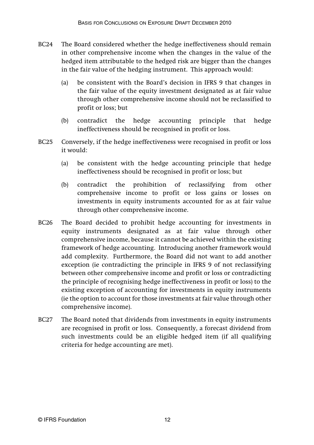- BC24 The Board considered whether the hedge ineffectiveness should remain in other comprehensive income when the changes in the value of the hedged item attributable to the hedged risk are bigger than the changes in the fair value of the hedging instrument. This approach would:
	- (a) be consistent with the Board's decision in IFRS 9 that changes in the fair value of the equity investment designated as at fair value through other comprehensive income should not be reclassified to profit or loss; but
	- (b) contradict the hedge accounting principle that hedge ineffectiveness should be recognised in profit or loss.
- BC25 Conversely, if the hedge ineffectiveness were recognised in profit or loss it would:
	- (a) be consistent with the hedge accounting principle that hedge ineffectiveness should be recognised in profit or loss; but
	- (b) contradict the prohibition of reclassifying from other comprehensive income to profit or loss gains or losses on investments in equity instruments accounted for as at fair value through other comprehensive income.
- BC26 The Board decided to prohibit hedge accounting for investments in equity instruments designated as at fair value through other comprehensive income, because it cannot be achieved within the existing framework of hedge accounting. Introducing another framework would add complexity. Furthermore, the Board did not want to add another exception (ie contradicting the principle in IFRS 9 of not reclassifying between other comprehensive income and profit or loss or contradicting the principle of recognising hedge ineffectiveness in profit or loss) to the existing exception of accounting for investments in equity instruments (ie the option to account for those investments at fair value through other comprehensive income).
- BC27 The Board noted that dividends from investments in equity instruments are recognised in profit or loss. Consequently, a forecast dividend from such investments could be an eligible hedged item (if all qualifying criteria for hedge accounting are met).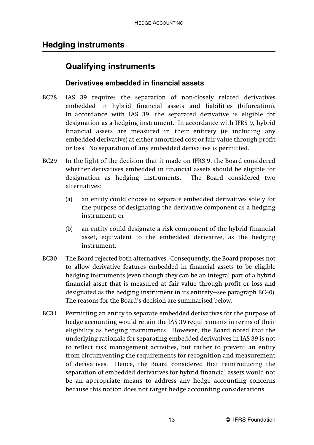#### **Hedging instruments**

## **Qualifying instruments**

#### **Derivatives embedded in financial assets**

- BC28 IAS 39 requires the separation of non-closely related derivatives embedded in hybrid financial assets and liabilities (bifurcation). In accordance with IAS 39, the separated derivative is eligible for designation as a hedging instrument. In accordance with IFRS 9, hybrid financial assets are measured in their entirety (ie including any embedded derivative) at either amortised cost or fair value through profit or loss. No separation of any embedded derivative is permitted.
- BC29 In the light of the decision that it made on IFRS 9, the Board considered whether derivatives embedded in financial assets should be eligible for designation as hedging instruments. The Board considered two alternatives:
	- (a) an entity could choose to separate embedded derivatives solely for the purpose of designating the derivative component as a hedging instrument; or
	- (b) an entity could designate a risk component of the hybrid financial asset, equivalent to the embedded derivative, as the hedging instrument.
- BC30 The Board rejected both alternatives. Consequently, the Board proposes not to allow derivative features embedded in financial assets to be eligible hedging instruments (even though they can be an integral part of a hybrid financial asset that is measured at fair value through profit or loss and designated as the hedging instrument in its entirety—see paragraph BC40). The reasons for the Board's decision are summarised below.
- BC31 Permitting an entity to separate embedded derivatives for the purpose of hedge accounting would retain the IAS 39 requirements in terms of their eligibility as hedging instruments. However, the Board noted that the underlying rationale for separating embedded derivatives in IAS 39 is not to reflect risk management activities, but rather to prevent an entity from circumventing the requirements for recognition and measurement of derivatives. Hence, the Board considered that reintroducing the separation of embedded derivatives for hybrid financial assets would not be an appropriate means to address any hedge accounting concerns because this notion does not target hedge accounting considerations.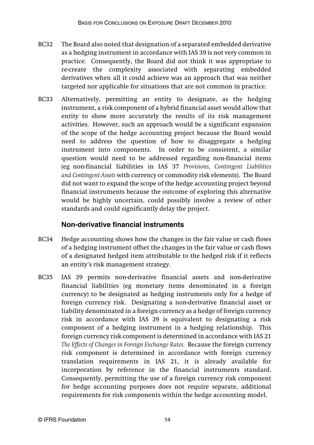- BC32 The Board also noted that designation of a separated embedded derivative as a hedging instrument in accordance with IAS 39 is not very common in practice. Consequently, the Board did not think it was appropriate to re-create the complexity associated with separating embedded derivatives when all it could achieve was an approach that was neither targeted nor applicable for situations that are not common in practice.
- BC33 Alternatively, permitting an entity to designate, as the hedging instrument, a risk component of a hybrid financial asset would allow that entity to show more accurately the results of its risk management activities. However, such an approach would be a significant expansion of the scope of the hedge accounting project because the Board would need to address the question of how to disaggregate a hedging instrument into components. In order to be consistent, a similar question would need to be addressed regarding non-financial items (eg non-financial liabilities in IAS 37 *Provisions, Contingent Liabilities and Contingent Assets* with currency or commodity risk elements). The Board did not want to expand the scope of the hedge accounting project beyond financial instruments because the outcome of exploring this alternative would be highly uncertain, could possibly involve a review of other standards and could significantly delay the project.

#### **Non-derivative financial instruments**

- BC34 Hedge accounting shows how the changes in the fair value or cash flows of a hedging instrument offset the changes in the fair value or cash flows of a designated hedged item attributable to the hedged risk if it reflects an entity's risk management strategy.
- BC35 IAS 39 permits non-derivative financial assets and non-derivative financial liabilities (eg monetary items denominated in a foreign currency) to be designated as hedging instruments only for a hedge of foreign currency risk. Designating a non-derivative financial asset or liability denominated in a foreign currency as a hedge of foreign currency risk in accordance with IAS 39 is equivalent to designating a risk component of a hedging instrument in a hedging relationship. This foreign currency risk component is determined in accordance with IAS 21 *The Effects of Changes in Foreign Exchange Rates.* Because the foreign currency risk component is determined in accordance with foreign currency translation requirements in IAS 21, it is already available for incorporation by reference in the financial instruments standard. Consequently, permitting the use of a foreign currency risk component for hedge accounting purposes does not require separate, additional requirements for risk components within the hedge accounting model.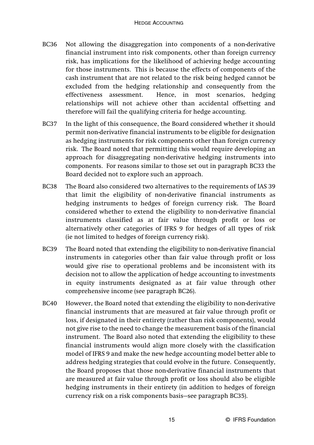- BC36 Not allowing the disaggregation into components of a non-derivative financial instrument into risk components, other than foreign currency risk, has implications for the likelihood of achieving hedge accounting for those instruments. This is because the effects of components of the cash instrument that are not related to the risk being hedged cannot be excluded from the hedging relationship and consequently from the effectiveness assessment. Hence, in most scenarios, hedging relationships will not achieve other than accidental offsetting and therefore will fail the qualifying criteria for hedge accounting.
- BC37 In the light of this consequence, the Board considered whether it should permit non-derivative financial instruments to be eligible for designation as hedging instruments for risk components other than foreign currency risk. The Board noted that permitting this would require developing an approach for disaggregating non-derivative hedging instruments into components. For reasons similar to those set out in paragraph BC33 the Board decided not to explore such an approach.
- BC38 The Board also considered two alternatives to the requirements of IAS 39 that limit the eligibility of non-derivative financial instruments as hedging instruments to hedges of foreign currency risk. The Board considered whether to extend the eligibility to non-derivative financial instruments classified as at fair value through profit or loss or alternatively other categories of IFRS 9 for hedges of all types of risk (ie not limited to hedges of foreign currency risk).
- BC39 The Board noted that extending the eligibility to non-derivative financial instruments in categories other than fair value through profit or loss would give rise to operational problems and be inconsistent with its decision not to allow the application of hedge accounting to investments in equity instruments designated as at fair value through other comprehensive income (see paragraph BC26).
- BC40 However, the Board noted that extending the eligibility to non-derivative financial instruments that are measured at fair value through profit or loss, if designated in their entirety (rather than risk components), would not give rise to the need to change the measurement basis of the financial instrument. The Board also noted that extending the eligibility to these financial instruments would align more closely with the classification model of IFRS 9 and make the new hedge accounting model better able to address hedging strategies that could evolve in the future. Consequently, the Board proposes that those non-derivative financial instruments that are measured at fair value through profit or loss should also be eligible hedging instruments in their entirety (in addition to hedges of foreign currency risk on a risk components basis—see paragraph BC35).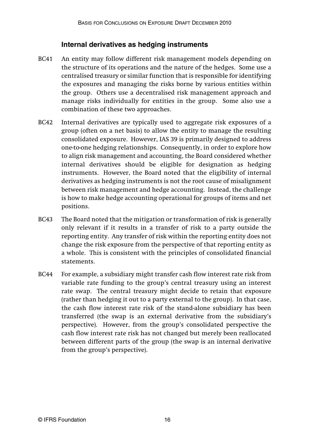#### **Internal derivatives as hedging instruments**

- BC41 An entity may follow different risk management models depending on the structure of its operations and the nature of the hedges. Some use a centralised treasury or similar function that is responsible for identifying the exposures and managing the risks borne by various entities within the group. Others use a decentralised risk management approach and manage risks individually for entities in the group. Some also use a combination of these two approaches.
- BC42 Internal derivatives are typically used to aggregate risk exposures of a group (often on a net basis) to allow the entity to manage the resulting consolidated exposure. However, IAS 39 is primarily designed to address one-to-one hedging relationships. Consequently, in order to explore how to align risk management and accounting, the Board considered whether internal derivatives should be eligible for designation as hedging instruments. However, the Board noted that the eligibility of internal derivatives as hedging instruments is not the root cause of misalignment between risk management and hedge accounting. Instead, the challenge is how to make hedge accounting operational for groups of items and net positions.
- BC43 The Board noted that the mitigation or transformation of risk is generally only relevant if it results in a transfer of risk to a party outside the reporting entity. Any transfer of risk within the reporting entity does not change the risk exposure from the perspective of that reporting entity as a whole. This is consistent with the principles of consolidated financial statements.
- BC44 For example, a subsidiary might transfer cash flow interest rate risk from variable rate funding to the group's central treasury using an interest rate swap. The central treasury might decide to retain that exposure (rather than hedging it out to a party external to the group). In that case, the cash flow interest rate risk of the stand-alone subsidiary has been transferred (the swap is an external derivative from the subsidiary's perspective). However, from the group's consolidated perspective the cash flow interest rate risk has not changed but merely been reallocated between different parts of the group (the swap is an internal derivative from the group's perspective).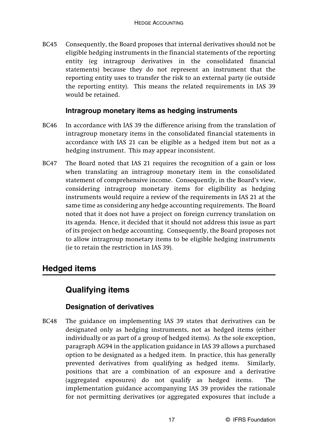BC45 Consequently, the Board proposes that internal derivatives should not be eligible hedging instruments in the financial statements of the reporting entity (eg intragroup derivatives in the consolidated financial statements) because they do not represent an instrument that the reporting entity uses to transfer the risk to an external party (ie outside the reporting entity). This means the related requirements in IAS 39 would be retained.

#### **Intragroup monetary items as hedging instruments**

- BC46 In accordance with IAS 39 the difference arising from the translation of intragroup monetary items in the consolidated financial statements in accordance with IAS 21 can be eligible as a hedged item but not as a hedging instrument. This may appear inconsistent.
- BC47 The Board noted that IAS 21 requires the recognition of a gain or loss when translating an intragroup monetary item in the consolidated statement of comprehensive income. Consequently, in the Board's view, considering intragroup monetary items for eligibility as hedging instruments would require a review of the requirements in IAS 21 at the same time as considering any hedge accounting requirements. The Board noted that it does not have a project on foreign currency translation on its agenda. Hence, it decided that it should not address this issue as part of its project on hedge accounting. Consequently, the Board proposes not to allow intragroup monetary items to be eligible hedging instruments (ie to retain the restriction in IAS 39).

#### **Hedged items**

#### **Qualifying items**

#### **Designation of derivatives**

BC48 The guidance on implementing IAS 39 states that derivatives can be designated only as hedging instruments, not as hedged items (either individually or as part of a group of hedged items). As the sole exception, paragraph AG94 in the application guidance in IAS 39 allows a purchased option to be designated as a hedged item. In practice, this has generally prevented derivatives from qualifying as hedged items. Similarly, positions that are a combination of an exposure and a derivative (aggregated exposures) do not qualify as hedged items. The implementation guidance accompanying IAS 39 provides the rationale for not permitting derivatives (or aggregated exposures that include a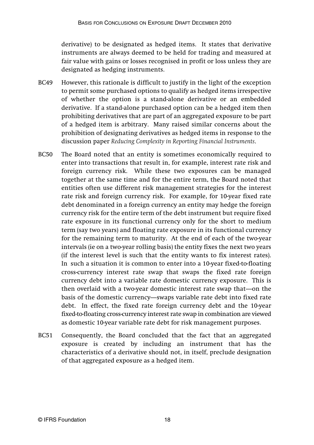derivative) to be designated as hedged items. It states that derivative instruments are always deemed to be held for trading and measured at fair value with gains or losses recognised in profit or loss unless they are designated as hedging instruments.

- BC49 However, this rationale is difficult to justify in the light of the exception to permit some purchased options to qualify as hedged items irrespective of whether the option is a stand-alone derivative or an embedded derivative. If a stand-alone purchased option can be a hedged item then prohibiting derivatives that are part of an aggregated exposure to be part of a hedged item is arbitrary. Many raised similar concerns about the prohibition of designating derivatives as hedged items in response to the discussion paper *Reducing Complexity in Reporting Financial Instruments*.
- BC50 The Board noted that an entity is sometimes economically required to enter into transactions that result in, for example, interest rate risk and foreign currency risk. While these two exposures can be managed together at the same time and for the entire term, the Board noted that entities often use different risk management strategies for the interest rate risk and foreign currency risk. For example, for 10-year fixed rate debt denominated in a foreign currency an entity may hedge the foreign currency risk for the entire term of the debt instrument but require fixed rate exposure in its functional currency only for the short to medium term (say two years) and floating rate exposure in its functional currency for the remaining term to maturity. At the end of each of the two-year intervals (ie on a two-year rolling basis) the entity fixes the next two years (if the interest level is such that the entity wants to fix interest rates). In such a situation it is common to enter into a 10-year fixed-to-floating cross-currency interest rate swap that swaps the fixed rate foreign currency debt into a variable rate domestic currency exposure. This is then overlaid with a two-year domestic interest rate swap that—on the basis of the domestic currency—swaps variable rate debt into fixed rate debt. In effect, the fixed rate foreign currency debt and the 10-year fixed-to-floating cross-currency interest rate swap in combination are viewed as domestic 10-year variable rate debt for risk management purposes.
- BC51 Consequently, the Board concluded that the fact that an aggregated exposure is created by including an instrument that has the characteristics of a derivative should not, in itself, preclude designation of that aggregated exposure as a hedged item.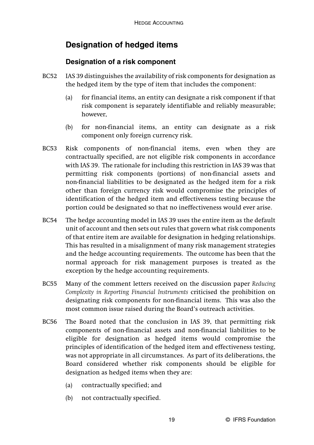## **Designation of hedged items**

#### **Designation of a risk component**

- BC52 IAS 39 distinguishes the availability of risk components for designation as the hedged item by the type of item that includes the component:
	- (a) for financial items, an entity can designate a risk component if that risk component is separately identifiable and reliably measurable; however,
	- (b) for non-financial items, an entity can designate as a risk component only foreign currency risk.
- BC53 Risk components of non-financial items, even when they are contractually specified, are not eligible risk components in accordance with IAS 39. The rationale for including this restriction in IAS 39 was that permitting risk components (portions) of non-financial assets and non-financial liabilities to be designated as the hedged item for a risk other than foreign currency risk would compromise the principles of identification of the hedged item and effectiveness testing because the portion could be designated so that no ineffectiveness would ever arise.
- BC54 The hedge accounting model in IAS 39 uses the entire item as the default unit of account and then sets out rules that govern what risk components of that entire item are available for designation in hedging relationships. This has resulted in a misalignment of many risk management strategies and the hedge accounting requirements. The outcome has been that the normal approach for risk management purposes is treated as the exception by the hedge accounting requirements.
- BC55 Many of the comment letters received on the discussion paper *Reducing Complexity in Reporting Financial Instruments* criticised the prohibition on designating risk components for non-financial items. This was also the most common issue raised during the Board's outreach activities.
- BC56 The Board noted that the conclusion in IAS 39, that permitting risk components of non-financial assets and non-financial liabilities to be eligible for designation as hedged items would compromise the principles of identification of the hedged item and effectiveness testing, was not appropriate in all circumstances. As part of its deliberations, the Board considered whether risk components should be eligible for designation as hedged items when they are:
	- (a) contractually specified; and
	- (b) not contractually specified.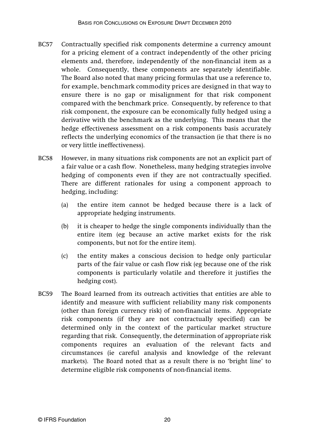- BC57 Contractually specified risk components determine a currency amount for a pricing element of a contract independently of the other pricing elements and, therefore, independently of the non-financial item as a whole. Consequently, these components are separately identifiable. The Board also noted that many pricing formulas that use a reference to, for example, benchmark commodity prices are designed in that way to ensure there is no gap or misalignment for that risk component compared with the benchmark price. Consequently, by reference to that risk component, the exposure can be economically fully hedged using a derivative with the benchmark as the underlying. This means that the hedge effectiveness assessment on a risk components basis accurately reflects the underlying economics of the transaction (ie that there is no or very little ineffectiveness).
- BC58 However, in many situations risk components are not an explicit part of a fair value or a cash flow. Nonetheless, many hedging strategies involve hedging of components even if they are not contractually specified. There are different rationales for using a component approach to hedging, including:
	- (a) the entire item cannot be hedged because there is a lack of appropriate hedging instruments.
	- (b) it is cheaper to hedge the single components individually than the entire item (eg because an active market exists for the risk components, but not for the entire item).
	- (c) the entity makes a conscious decision to hedge only particular parts of the fair value or cash flow risk (eg because one of the risk components is particularly volatile and therefore it justifies the hedging cost).
- BC59 The Board learned from its outreach activities that entities are able to identify and measure with sufficient reliability many risk components (other than foreign currency risk) of non-financial items. Appropriate risk components (if they are not contractually specified) can be determined only in the context of the particular market structure regarding that risk. Consequently, the determination of appropriate risk components requires an evaluation of the relevant facts and circumstances (ie careful analysis and knowledge of the relevant markets). The Board noted that as a result there is no 'bright line' to determine eligible risk components of non-financial items.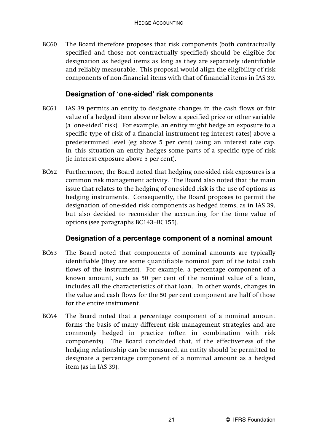BC60 The Board therefore proposes that risk components (both contractually specified and those not contractually specified) should be eligible for designation as hedged items as long as they are separately identifiable and reliably measurable. This proposal would align the eligibility of risk components of non-financial items with that of financial items in IAS 39.

#### **Designation of 'one-sided' risk components**

- BC61 IAS 39 permits an entity to designate changes in the cash flows or fair value of a hedged item above or below a specified price or other variable (a 'one-sided' risk). For example, an entity might hedge an exposure to a specific type of risk of a financial instrument (eg interest rates) above a predetermined level (eg above 5 per cent) using an interest rate cap. In this situation an entity hedges some parts of a specific type of risk (ie interest exposure above 5 per cent).
- BC62 Furthermore, the Board noted that hedging one-sided risk exposures is a common risk management activity. The Board also noted that the main issue that relates to the hedging of one-sided risk is the use of options as hedging instruments. Consequently, the Board proposes to permit the designation of one-sided risk components as hedged items, as in IAS 39, but also decided to reconsider the accounting for the time value of options (see paragraphs BC143–BC155).

#### **Designation of a percentage component of a nominal amount**

- BC63 The Board noted that components of nominal amounts are typically identifiable (they are some quantifiable nominal part of the total cash flows of the instrument). For example, a percentage component of a known amount, such as 50 per cent of the nominal value of a loan, includes all the characteristics of that loan. In other words, changes in the value and cash flows for the 50 per cent component are half of those for the entire instrument.
- BC64 The Board noted that a percentage component of a nominal amount forms the basis of many different risk management strategies and are commonly hedged in practice (often in combination with risk components). The Board concluded that, if the effectiveness of the hedging relationship can be measured, an entity should be permitted to designate a percentage component of a nominal amount as a hedged item (as in IAS 39).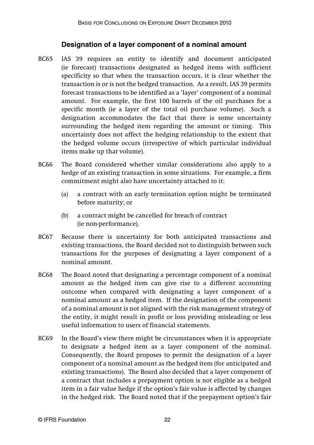#### **Designation of a layer component of a nominal amount**

- BC65 IAS 39 requires an entity to identify and document anticipated (ie forecast) transactions designated as hedged items with sufficient specificity so that when the transaction occurs, it is clear whether the transaction is or is not the hedged transaction. As a result, IAS 39 permits forecast transactions to be identified as a 'layer' component of a nominal amount. For example, the first 100 barrels of the oil purchases for a specific month (ie a layer of the total oil purchase volume). Such a designation accommodates the fact that there is some uncertainty surrounding the hedged item regarding the amount or timing. This uncertainty does not affect the hedging relationship to the extent that the hedged volume occurs (irrespective of which particular individual items make up that volume).
- BC66 The Board considered whether similar considerations also apply to a hedge of an existing transaction in some situations. For example, a firm commitment might also have uncertainty attached to it:
	- (a) a contract with an early termination option might be terminated before maturity; or
	- (b) a contract might be cancelled for breach of contract (ie non-performance).
- BC67 Because there is uncertainty for both anticipated transactions and existing transactions, the Board decided not to distinguish between such transactions for the purposes of designating a layer component of a nominal amount.
- BC68 The Board noted that designating a percentage component of a nominal amount as the hedged item can give rise to a different accounting outcome when compared with designating a layer component of a nominal amount as a hedged item. If the designation of the component of a nominal amount is not aligned with the risk management strategy of the entity, it might result in profit or loss providing misleading or less useful information to users of financial statements.
- BC69 In the Board's view there might be circumstances when it is appropriate to designate a hedged item as a layer component of the nominal. Consequently, the Board proposes to permit the designation of a layer component of a nominal amount as the hedged item (for anticipated and existing transactions). The Board also decided that a layer component of a contract that includes a prepayment option is not eligible as a hedged item in a fair value hedge if the option's fair value is affected by changes in the hedged risk. The Board noted that if the prepayment option's fair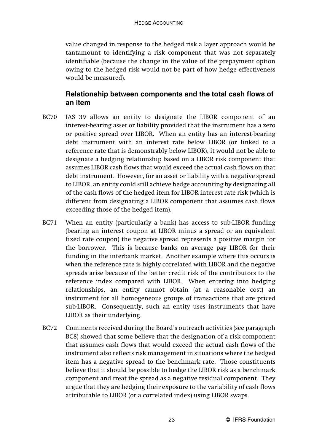value changed in response to the hedged risk a layer approach would be tantamount to identifying a risk component that was not separately identifiable (because the change in the value of the prepayment option owing to the hedged risk would not be part of how hedge effectiveness would be measured).

#### **Relationship between components and the total cash flows of an item**

- BC70 IAS 39 allows an entity to designate the LIBOR component of an interest-bearing asset or liability provided that the instrument has a zero or positive spread over LIBOR. When an entity has an interest-bearing debt instrument with an interest rate below LIBOR (or linked to a reference rate that is demonstrably below LIBOR), it would not be able to designate a hedging relationship based on a LIBOR risk component that assumes LIBOR cash flows that would exceed the actual cash flows on that debt instrument. However, for an asset or liability with a negative spread to LIBOR, an entity could still achieve hedge accounting by designating all of the cash flows of the hedged item for LIBOR interest rate risk (which is different from designating a LIBOR component that assumes cash flows exceeding those of the hedged item).
- BC71 When an entity (particularly a bank) has access to sub-LIBOR funding (bearing an interest coupon at LIBOR minus a spread or an equivalent fixed rate coupon) the negative spread represents a positive margin for the borrower. This is because banks on average pay LIBOR for their funding in the interbank market. Another example where this occurs is when the reference rate is highly correlated with LIBOR and the negative spreads arise because of the better credit risk of the contributors to the reference index compared with LIBOR. When entering into hedging relationships, an entity cannot obtain (at a reasonable cost) an instrument for all homogeneous groups of transactions that are priced sub-LIBOR. Consequently, such an entity uses instruments that have LIBOR as their underlying.
- BC72 Comments received during the Board's outreach activities (see paragraph BC8) showed that some believe that the designation of a risk component that assumes cash flows that would exceed the actual cash flows of the instrument also reflects risk management in situations where the hedged item has a negative spread to the benchmark rate. Those constituents believe that it should be possible to hedge the LIBOR risk as a benchmark component and treat the spread as a negative residual component. They argue that they are hedging their exposure to the variability of cash flows attributable to LIBOR (or a correlated index) using LIBOR swaps.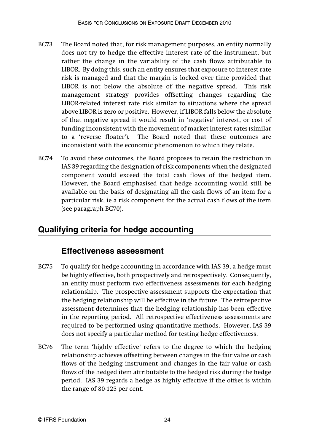- BC73 The Board noted that, for risk management purposes, an entity normally does not try to hedge the effective interest rate of the instrument, but rather the change in the variability of the cash flows attributable to LIBOR. By doing this, such an entity ensures that exposure to interest rate risk is managed and that the margin is locked over time provided that LIBOR is not below the absolute of the negative spread. This risk management strategy provides offsetting changes regarding the LIBOR-related interest rate risk similar to situations where the spread above LIBOR is zero or positive. However, if LIBOR falls below the absolute of that negative spread it would result in 'negative' interest, or cost of funding inconsistent with the movement of market interest rates (similar to a 'reverse floater'). The Board noted that these outcomes are inconsistent with the economic phenomenon to which they relate.
- BC74 To avoid these outcomes, the Board proposes to retain the restriction in IAS 39 regarding the designation of risk components when the designated component would exceed the total cash flows of the hedged item. However, the Board emphasised that hedge accounting would still be available on the basis of designating all the cash flows of an item for a particular risk, ie a risk component for the actual cash flows of the item (see paragraph BC70).

## **Qualifying criteria for hedge accounting**

#### **Effectiveness assessment**

- BC75 To qualify for hedge accounting in accordance with IAS 39, a hedge must be highly effective, both prospectively and retrospectively. Consequently, an entity must perform two effectiveness assessments for each hedging relationship. The prospective assessment supports the expectation that the hedging relationship will be effective in the future. The retrospective assessment determines that the hedging relationship has been effective in the reporting period. All retrospective effectiveness assessments are required to be performed using quantitative methods. However, IAS 39 does not specify a particular method for testing hedge effectiveness.
- BC76 The term 'highly effective' refers to the degree to which the hedging relationship achieves offsetting between changes in the fair value or cash flows of the hedging instrument and changes in the fair value or cash flows of the hedged item attributable to the hedged risk during the hedge period. IAS 39 regards a hedge as highly effective if the offset is within the range of 80-125 per cent.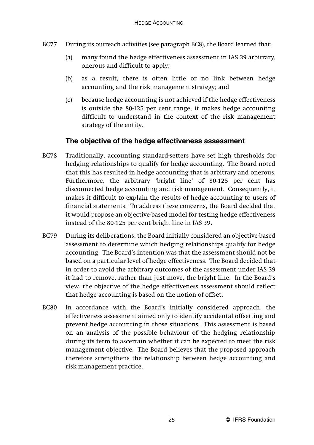- BC77 During its outreach activities (see paragraph BC8), the Board learned that:
	- (a) many found the hedge effectiveness assessment in IAS 39 arbitrary, onerous and difficult to apply;
	- (b) as a result, there is often little or no link between hedge accounting and the risk management strategy; and
	- (c) because hedge accounting is not achieved if the hedge effectiveness is outside the 80-125 per cent range, it makes hedge accounting difficult to understand in the context of the risk management strategy of the entity.

#### **The objective of the hedge effectiveness assessment**

- BC78 Traditionally, accounting standard-setters have set high thresholds for hedging relationships to qualify for hedge accounting. The Board noted that this has resulted in hedge accounting that is arbitrary and onerous. Furthermore, the arbitrary 'bright line' of 80-125 per cent has disconnected hedge accounting and risk management. Consequently, it makes it difficult to explain the results of hedge accounting to users of financial statements. To address these concerns, the Board decided that it would propose an objective-based model for testing hedge effectiveness instead of the 80-125 per cent bright line in IAS 39.
- BC79 During its deliberations, the Board initially considered an objective-based assessment to determine which hedging relationships qualify for hedge accounting. The Board's intention was that the assessment should not be based on a particular level of hedge effectiveness. The Board decided that in order to avoid the arbitrary outcomes of the assessment under IAS 39 it had to remove, rather than just move, the bright line. In the Board's view, the objective of the hedge effectiveness assessment should reflect that hedge accounting is based on the notion of offset.
- BC80 In accordance with the Board's initially considered approach, the effectiveness assessment aimed only to identify accidental offsetting and prevent hedge accounting in those situations. This assessment is based on an analysis of the possible behaviour of the hedging relationship during its term to ascertain whether it can be expected to meet the risk management objective. The Board believes that the proposed approach therefore strengthens the relationship between hedge accounting and risk management practice.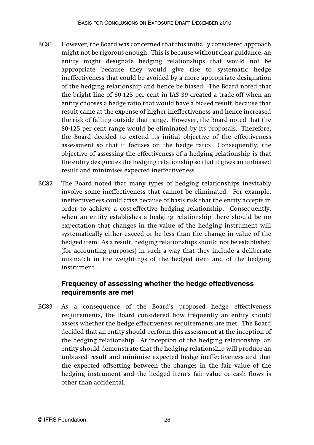- BC81 However, the Board was concerned that this initially considered approach might not be rigorous enough. This is because without clear guidance, an entity might designate hedging relationships that would not be appropriate because they would give rise to systematic hedge ineffectiveness that could be avoided by a more appropriate designation of the hedging relationship and hence be biased. The Board noted that the bright line of 80-125 per cent in IAS 39 created a trade-off when an entity chooses a hedge ratio that would have a biased result, because that result came at the expense of higher ineffectiveness and hence increased the risk of falling outside that range. However, the Board noted that the 80-125 per cent range would be eliminated by its proposals. Therefore, the Board decided to extend its initial objective of the effectiveness assessment so that it focuses on the hedge ratio. Consequently, the objective of assessing the effectiveness of a hedging relationship is that the entity designates the hedging relationship so that it gives an unbiased result and minimises expected ineffectiveness.
- BC82 The Board noted that many types of hedging relationships inevitably involve some ineffectiveness that cannot be eliminated. For example, ineffectiveness could arise because of basis risk that the entity accepts in order to achieve a cost-effective hedging relationship. Consequently, when an entity establishes a hedging relationship there should be no expectation that changes in the value of the hedging instrument will systematically either exceed or be less than the change in value of the hedged item. As a result, hedging relationships should not be established (for accounting purposes) in such a way that they include a deliberate mismatch in the weightings of the hedged item and of the hedging instrument.

#### **Frequency of assessing whether the hedge effectiveness requirements are met**

BC83 As a consequence of the Board's proposed hedge effectiveness requirements, the Board considered how frequently an entity should assess whether the hedge effectiveness requirements are met. The Board decided that an entity should perform this assessment at the inception of the hedging relationship. At inception of the hedging relationship, an entity should demonstrate that the hedging relationship will produce an unbiased result and minimise expected hedge ineffectiveness and that the expected offsetting between the changes in the fair value of the hedging instrument and the hedged item's fair value or cash flows is other than accidental.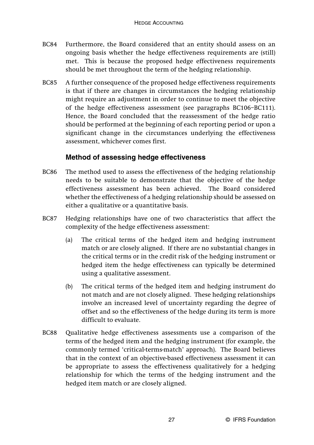- BC84 Furthermore, the Board considered that an entity should assess on an ongoing basis whether the hedge effectiveness requirements are (still) met. This is because the proposed hedge effectiveness requirements should be met throughout the term of the hedging relationship.
- BC85 A further consequence of the proposed hedge effectiveness requirements is that if there are changes in circumstances the hedging relationship might require an adjustment in order to continue to meet the objective of the hedge effectiveness assessment (see paragraphs BC106–BC111). Hence, the Board concluded that the reassessment of the hedge ratio should be performed at the beginning of each reporting period or upon a significant change in the circumstances underlying the effectiveness assessment, whichever comes first.

#### **Method of assessing hedge effectiveness**

- BC86 The method used to assess the effectiveness of the hedging relationship needs to be suitable to demonstrate that the objective of the hedge effectiveness assessment has been achieved. The Board considered whether the effectiveness of a hedging relationship should be assessed on either a qualitative or a quantitative basis.
- BC87 Hedging relationships have one of two characteristics that affect the complexity of the hedge effectiveness assessment:
	- (a) The critical terms of the hedged item and hedging instrument match or are closely aligned. If there are no substantial changes in the critical terms or in the credit risk of the hedging instrument or hedged item the hedge effectiveness can typically be determined using a qualitative assessment.
	- (b) The critical terms of the hedged item and hedging instrument do not match and are not closely aligned. These hedging relationships involve an increased level of uncertainty regarding the degree of offset and so the effectiveness of the hedge during its term is more difficult to evaluate.
- BC88 Qualitative hedge effectiveness assessments use a comparison of the terms of the hedged item and the hedging instrument (for example, the commonly termed 'critical-terms-match' approach). The Board believes that in the context of an objective-based effectiveness assessment it can be appropriate to assess the effectiveness qualitatively for a hedging relationship for which the terms of the hedging instrument and the hedged item match or are closely aligned.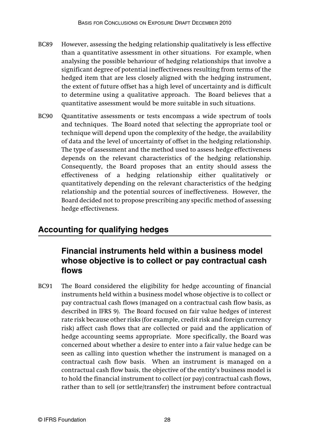- BC89 However, assessing the hedging relationship qualitatively is less effective than a quantitative assessment in other situations. For example, when analysing the possible behaviour of hedging relationships that involve a significant degree of potential ineffectiveness resulting from terms of the hedged item that are less closely aligned with the hedging instrument, the extent of future offset has a high level of uncertainty and is difficult to determine using a qualitative approach. The Board believes that a quantitative assessment would be more suitable in such situations.
- BC90 Quantitative assessments or tests encompass a wide spectrum of tools and techniques. The Board noted that selecting the appropriate tool or technique will depend upon the complexity of the hedge, the availability of data and the level of uncertainty of offset in the hedging relationship. The type of assessment and the method used to assess hedge effectiveness depends on the relevant characteristics of the hedging relationship. Consequently, the Board proposes that an entity should assess the effectiveness of a hedging relationship either qualitatively or quantitatively depending on the relevant characteristics of the hedging relationship and the potential sources of ineffectiveness. However, the Board decided not to propose prescribing any specific method of assessing hedge effectiveness.

## **Accounting for qualifying hedges**

## **Financial instruments held within a business model whose objective is to collect or pay contractual cash flows**

BC91 The Board considered the eligibility for hedge accounting of financial instruments held within a business model whose objective is to collect or pay contractual cash flows (managed on a contractual cash flow basis, as described in IFRS 9). The Board focused on fair value hedges of interest rate risk because other risks (for example, credit risk and foreign currency risk) affect cash flows that are collected or paid and the application of hedge accounting seems appropriate. More specifically, the Board was concerned about whether a desire to enter into a fair value hedge can be seen as calling into question whether the instrument is managed on a contractual cash flow basis. When an instrument is managed on a contractual cash flow basis, the objective of the entity's business model is to hold the financial instrument to collect (or pay) contractual cash flows, rather than to sell (or settle/transfer) the instrument before contractual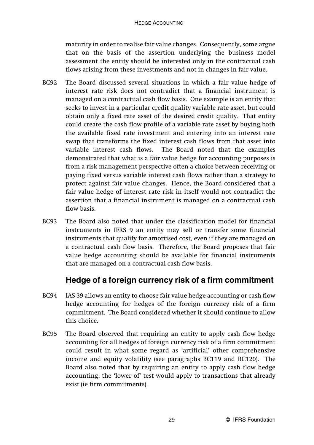maturity in order to realise fair value changes. Consequently, some argue that on the basis of the assertion underlying the business model assessment the entity should be interested only in the contractual cash flows arising from these investments and not in changes in fair value.

- BC92 The Board discussed several situations in which a fair value hedge of interest rate risk does not contradict that a financial instrument is managed on a contractual cash flow basis. One example is an entity that seeks to invest in a particular credit quality variable rate asset, but could obtain only a fixed rate asset of the desired credit quality. That entity could create the cash flow profile of a variable rate asset by buying both the available fixed rate investment and entering into an interest rate swap that transforms the fixed interest cash flows from that asset into variable interest cash flows. The Board noted that the examples demonstrated that what is a fair value hedge for accounting purposes is from a risk management perspective often a choice between receiving or paying fixed versus variable interest cash flows rather than a strategy to protect against fair value changes. Hence, the Board considered that a fair value hedge of interest rate risk in itself would not contradict the assertion that a financial instrument is managed on a contractual cash flow basis.
- BC93 The Board also noted that under the classification model for financial instruments in IFRS 9 an entity may sell or transfer some financial instruments that qualify for amortised cost, even if they are managed on a contractual cash flow basis. Therefore, the Board proposes that fair value hedge accounting should be available for financial instruments that are managed on a contractual cash flow basis.

## **Hedge of a foreign currency risk of a firm commitment**

- BC94 IAS 39 allows an entity to choose fair value hedge accounting or cash flow hedge accounting for hedges of the foreign currency risk of a firm commitment. The Board considered whether it should continue to allow this choice.
- BC95 The Board observed that requiring an entity to apply cash flow hedge accounting for all hedges of foreign currency risk of a firm commitment could result in what some regard as 'artificial' other comprehensive income and equity volatility (see paragraphs BC119 and BC120). The Board also noted that by requiring an entity to apply cash flow hedge accounting, the 'lower of' test would apply to transactions that already exist (ie firm commitments).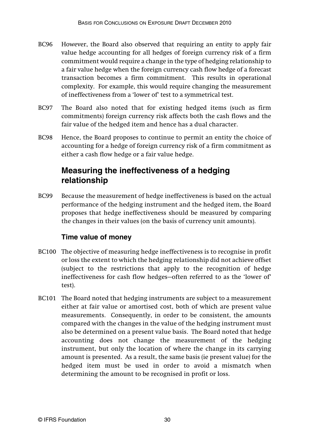- BC96 However, the Board also observed that requiring an entity to apply fair value hedge accounting for all hedges of foreign currency risk of a firm commitment would require a change in the type of hedging relationship to a fair value hedge when the foreign currency cash flow hedge of a forecast transaction becomes a firm commitment. This results in operational complexity. For example, this would require changing the measurement of ineffectiveness from a 'lower of' test to a symmetrical test.
- BC97 The Board also noted that for existing hedged items (such as firm commitments) foreign currency risk affects both the cash flows and the fair value of the hedged item and hence has a dual character.
- BC98 Hence, the Board proposes to continue to permit an entity the choice of accounting for a hedge of foreign currency risk of a firm commitment as either a cash flow hedge or a fair value hedge.

### **Measuring the ineffectiveness of a hedging relationship**

BC99 Because the measurement of hedge ineffectiveness is based on the actual performance of the hedging instrument and the hedged item, the Board proposes that hedge ineffectiveness should be measured by comparing the changes in their values (on the basis of currency unit amounts).

#### **Time value of money**

- BC100 The objective of measuring hedge ineffectiveness is to recognise in profit or loss the extent to which the hedging relationship did not achieve offset (subject to the restrictions that apply to the recognition of hedge ineffectiveness for cash flow hedges—often referred to as the 'lower of' test).
- BC101 The Board noted that hedging instruments are subject to a measurement either at fair value or amortised cost, both of which are present value measurements. Consequently, in order to be consistent, the amounts compared with the changes in the value of the hedging instrument must also be determined on a present value basis. The Board noted that hedge accounting does not change the measurement of the hedging instrument, but only the location of where the change in its carrying amount is presented. As a result, the same basis (ie present value) for the hedged item must be used in order to avoid a mismatch when determining the amount to be recognised in profit or loss.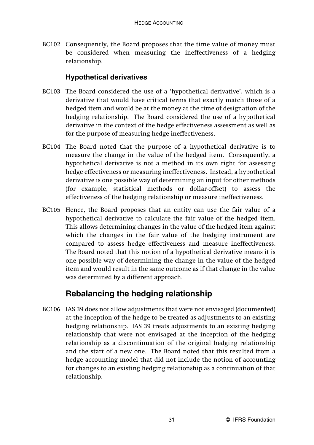BC102 Consequently, the Board proposes that the time value of money must be considered when measuring the ineffectiveness of a hedging relationship.

#### **Hypothetical derivatives**

- BC103 The Board considered the use of a 'hypothetical derivative', which is a derivative that would have critical terms that exactly match those of a hedged item and would be at the money at the time of designation of the hedging relationship. The Board considered the use of a hypothetical derivative in the context of the hedge effectiveness assessment as well as for the purpose of measuring hedge ineffectiveness.
- BC104 The Board noted that the purpose of a hypothetical derivative is to measure the change in the value of the hedged item. Consequently, a hypothetical derivative is not a method in its own right for assessing hedge effectiveness or measuring ineffectiveness. Instead, a hypothetical derivative is one possible way of determining an input for other methods (for example, statistical methods or dollar-offset) to assess the effectiveness of the hedging relationship or measure ineffectiveness.
- BC105 Hence, the Board proposes that an entity can use the fair value of a hypothetical derivative to calculate the fair value of the hedged item. This allows determining changes in the value of the hedged item against which the changes in the fair value of the hedging instrument are compared to assess hedge effectiveness and measure ineffectiveness. The Board noted that this notion of a hypothetical derivative means it is one possible way of determining the change in the value of the hedged item and would result in the same outcome as if that change in the value was determined by a different approach.

## **Rebalancing the hedging relationship**

BC106 IAS 39 does not allow adjustments that were not envisaged (documented) at the inception of the hedge to be treated as adjustments to an existing hedging relationship. IAS 39 treats adjustments to an existing hedging relationship that were not envisaged at the inception of the hedging relationship as a discontinuation of the original hedging relationship and the start of a new one. The Board noted that this resulted from a hedge accounting model that did not include the notion of accounting for changes to an existing hedging relationship as a continuation of that relationship.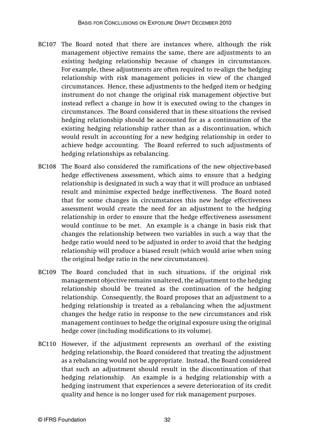- BC107 The Board noted that there are instances where, although the risk management objective remains the same, there are adjustments to an existing hedging relationship because of changes in circumstances. For example, these adjustments are often required to re-align the hedging relationship with risk management policies in view of the changed circumstances. Hence, these adjustments to the hedged item or hedging instrument do not change the original risk management objective but instead reflect a change in how it is executed owing to the changes in circumstances. The Board considered that in these situations the revised hedging relationship should be accounted for as a continuation of the existing hedging relationship rather than as a discontinuation, which would result in accounting for a new hedging relationship in order to achieve hedge accounting. The Board referred to such adjustments of hedging relationships as rebalancing.
- BC108 The Board also considered the ramifications of the new objective-based hedge effectiveness assessment, which aims to ensure that a hedging relationship is designated in such a way that it will produce an unbiased result and minimise expected hedge ineffectiveness. The Board noted that for some changes in circumstances this new hedge effectiveness assessment would create the need for an adjustment to the hedging relationship in order to ensure that the hedge effectiveness assessment would continue to be met. An example is a change in basis risk that changes the relationship between two variables in such a way that the hedge ratio would need to be adjusted in order to avoid that the hedging relationship will produce a biased result (which would arise when using the original hedge ratio in the new circumstances).
- BC109 The Board concluded that in such situations, if the original risk management objective remains unaltered, the adjustment to the hedging relationship should be treated as the continuation of the hedging relationship. Consequently, the Board proposes that an adjustment to a hedging relationship is treated as a rebalancing when the adjustment changes the hedge ratio in response to the new circumstances and risk management continues to hedge the original exposure using the original hedge cover (including modifications to its volume).
- BC110 However, if the adjustment represents an overhaul of the existing hedging relationship, the Board considered that treating the adjustment as a rebalancing would not be appropriate. Instead, the Board considered that such an adjustment should result in the discontinuation of that hedging relationship. An example is a hedging relationship with a hedging instrument that experiences a severe deterioration of its credit quality and hence is no longer used for risk management purposes.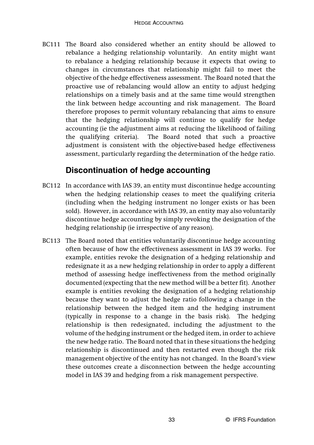BC111 The Board also considered whether an entity should be allowed to rebalance a hedging relationship voluntarily. An entity might want to rebalance a hedging relationship because it expects that owing to changes in circumstances that relationship might fail to meet the objective of the hedge effectiveness assessment. The Board noted that the proactive use of rebalancing would allow an entity to adjust hedging relationships on a timely basis and at the same time would strengthen the link between hedge accounting and risk management. The Board therefore proposes to permit voluntary rebalancing that aims to ensure that the hedging relationship will continue to qualify for hedge accounting (ie the adjustment aims at reducing the likelihood of failing the qualifying criteria). The Board noted that such a proactive adjustment is consistent with the objective-based hedge effectiveness assessment, particularly regarding the determination of the hedge ratio.

### **Discontinuation of hedge accounting**

- BC112 In accordance with IAS 39, an entity must discontinue hedge accounting when the hedging relationship ceases to meet the qualifying criteria (including when the hedging instrument no longer exists or has been sold). However, in accordance with IAS 39, an entity may also voluntarily discontinue hedge accounting by simply revoking the designation of the hedging relationship (ie irrespective of any reason).
- BC113 The Board noted that entities voluntarily discontinue hedge accounting often because of how the effectiveness assessment in IAS 39 works. For example, entities revoke the designation of a hedging relationship and redesignate it as a new hedging relationship in order to apply a different method of assessing hedge ineffectiveness from the method originally documented (expecting that the new method will be a better fit). Another example is entities revoking the designation of a hedging relationship because they want to adjust the hedge ratio following a change in the relationship between the hedged item and the hedging instrument (typically in response to a change in the basis risk). The hedging relationship is then redesignated, including the adjustment to the volume of the hedging instrument or the hedged item, in order to achieve the new hedge ratio. The Board noted that in these situations the hedging relationship is discontinued and then restarted even though the risk management objective of the entity has not changed. In the Board's view these outcomes create a disconnection between the hedge accounting model in IAS 39 and hedging from a risk management perspective.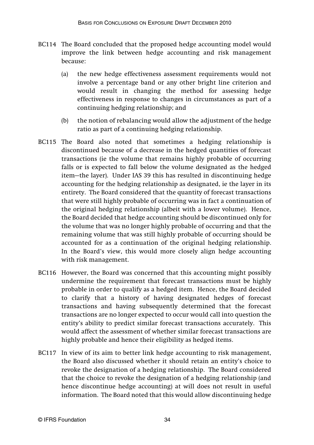- BC114 The Board concluded that the proposed hedge accounting model would improve the link between hedge accounting and risk management because:
	- (a) the new hedge effectiveness assessment requirements would not involve a percentage band or any other bright line criterion and would result in changing the method for assessing hedge effectiveness in response to changes in circumstances as part of a continuing hedging relationship; and
	- (b) the notion of rebalancing would allow the adjustment of the hedge ratio as part of a continuing hedging relationship.
- BC115 The Board also noted that sometimes a hedging relationship is discontinued because of a decrease in the hedged quantities of forecast transactions (ie the volume that remains highly probable of occurring falls or is expected to fall below the volume designated as the hedged item—the layer). Under IAS 39 this has resulted in discontinuing hedge accounting for the hedging relationship as designated, ie the layer in its entirety. The Board considered that the quantity of forecast transactions that were still highly probable of occurring was in fact a continuation of the original hedging relationship (albeit with a lower volume). Hence, the Board decided that hedge accounting should be discontinued only for the volume that was no longer highly probable of occurring and that the remaining volume that was still highly probable of occurring should be accounted for as a continuation of the original hedging relationship. In the Board's view, this would more closely align hedge accounting with risk management.
- BC116 However, the Board was concerned that this accounting might possibly undermine the requirement that forecast transactions must be highly probable in order to qualify as a hedged item. Hence, the Board decided to clarify that a history of having designated hedges of forecast transactions and having subsequently determined that the forecast transactions are no longer expected to occur would call into question the entity's ability to predict similar forecast transactions accurately. This would affect the assessment of whether similar forecast transactions are highly probable and hence their eligibility as hedged items.
- BC117 In view of its aim to better link hedge accounting to risk management, the Board also discussed whether it should retain an entity's choice to revoke the designation of a hedging relationship. The Board considered that the choice to revoke the designation of a hedging relationship (and hence discontinue hedge accounting) at will does not result in useful information. The Board noted that this would allow discontinuing hedge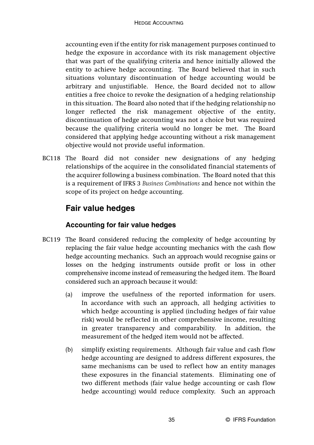accounting even if the entity for risk management purposes continued to hedge the exposure in accordance with its risk management objective that was part of the qualifying criteria and hence initially allowed the entity to achieve hedge accounting. The Board believed that in such situations voluntary discontinuation of hedge accounting would be arbitrary and unjustifiable. Hence, the Board decided not to allow entities a free choice to revoke the designation of a hedging relationship in this situation. The Board also noted that if the hedging relationship no longer reflected the risk management objective of the entity, discontinuation of hedge accounting was not a choice but was required because the qualifying criteria would no longer be met. The Board considered that applying hedge accounting without a risk management objective would not provide useful information.

BC118 The Board did not consider new designations of any hedging relationships of the acquiree in the consolidated financial statements of the acquirer following a business combination. The Board noted that this is a requirement of IFRS 3 *Business Combinations* and hence not within the scope of its project on hedge accounting.

## **Fair value hedges**

#### **Accounting for fair value hedges**

- BC119 The Board considered reducing the complexity of hedge accounting by replacing the fair value hedge accounting mechanics with the cash flow hedge accounting mechanics. Such an approach would recognise gains or losses on the hedging instruments outside profit or loss in other comprehensive income instead of remeasuring the hedged item. The Board considered such an approach because it would:
	- (a) improve the usefulness of the reported information for users. In accordance with such an approach, all hedging activities to which hedge accounting is applied (including hedges of fair value risk) would be reflected in other comprehensive income, resulting in greater transparency and comparability. In addition, the measurement of the hedged item would not be affected.
	- (b) simplify existing requirements. Although fair value and cash flow hedge accounting are designed to address different exposures, the same mechanisms can be used to reflect how an entity manages these exposures in the financial statements. Eliminating one of two different methods (fair value hedge accounting or cash flow hedge accounting) would reduce complexity. Such an approach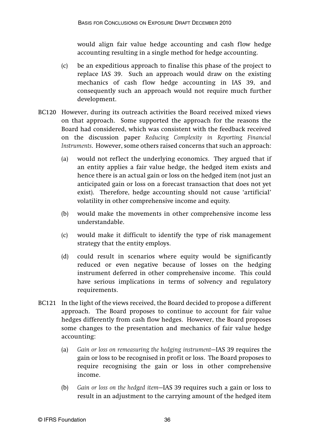would align fair value hedge accounting and cash flow hedge accounting resulting in a single method for hedge accounting.

- (c) be an expeditious approach to finalise this phase of the project to replace IAS 39. Such an approach would draw on the existing mechanics of cash flow hedge accounting in IAS 39, and consequently such an approach would not require much further development.
- BC120 However, during its outreach activities the Board received mixed views on that approach. Some supported the approach for the reasons the Board had considered, which was consistent with the feedback received on the discussion paper *Reducing Complexity in Reporting Financial Instruments*. However, some others raised concerns that such an approach:
	- (a) would not reflect the underlying economics. They argued that if an entity applies a fair value hedge, the hedged item exists and hence there is an actual gain or loss on the hedged item (not just an anticipated gain or loss on a forecast transaction that does not yet exist). Therefore, hedge accounting should not cause 'artificial' volatility in other comprehensive income and equity.
	- (b) would make the movements in other comprehensive income less understandable.
	- (c) would make it difficult to identify the type of risk management strategy that the entity employs.
	- (d) could result in scenarios where equity would be significantly reduced or even negative because of losses on the hedging instrument deferred in other comprehensive income. This could have serious implications in terms of solvency and regulatory requirements.
- BC121 In the light of the views received, the Board decided to propose a different approach. The Board proposes to continue to account for fair value hedges differently from cash flow hedges. However, the Board proposes some changes to the presentation and mechanics of fair value hedge accounting:
	- (a) *Gain or loss on remeasuring the hedging instrument*—IAS 39 requires the gain or loss to be recognised in profit or loss. The Board proposes to require recognising the gain or loss in other comprehensive income.
	- (b) *Gain or loss on the hedged item*—IAS 39 requires such a gain or loss to result in an adjustment to the carrying amount of the hedged item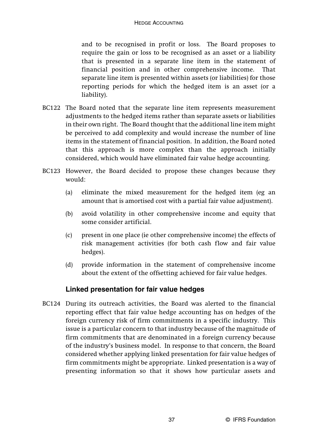and to be recognised in profit or loss. The Board proposes to require the gain or loss to be recognised as an asset or a liability that is presented in a separate line item in the statement of financial position and in other comprehensive income. That separate line item is presented within assets (or liabilities) for those reporting periods for which the hedged item is an asset (or a liability).

- BC122 The Board noted that the separate line item represents measurement adjustments to the hedged items rather than separate assets or liabilities in their own right. The Board thought that the additional line item might be perceived to add complexity and would increase the number of line items in the statement of financial position. In addition, the Board noted that this approach is more complex than the approach initially considered, which would have eliminated fair value hedge accounting.
- BC123 However, the Board decided to propose these changes because they would:
	- (a) eliminate the mixed measurement for the hedged item (eg an amount that is amortised cost with a partial fair value adjustment).
	- (b) avoid volatility in other comprehensive income and equity that some consider artificial.
	- (c) present in one place (ie other comprehensive income) the effects of risk management activities (for both cash flow and fair value hedges).
	- (d) provide information in the statement of comprehensive income about the extent of the offsetting achieved for fair value hedges.

#### **Linked presentation for fair value hedges**

BC124 During its outreach activities, the Board was alerted to the financial reporting effect that fair value hedge accounting has on hedges of the foreign currency risk of firm commitments in a specific industry. This issue is a particular concern to that industry because of the magnitude of firm commitments that are denominated in a foreign currency because of the industry's business model. In response to that concern, the Board considered whether applying linked presentation for fair value hedges of firm commitments might be appropriate. Linked presentation is a way of presenting information so that it shows how particular assets and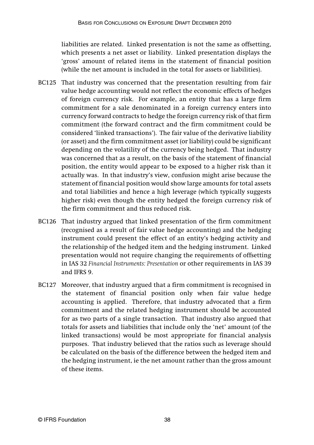liabilities are related. Linked presentation is not the same as offsetting, which presents a net asset or liability. Linked presentation displays the 'gross' amount of related items in the statement of financial position (while the net amount is included in the total for assets or liabilities).

- BC125 That industry was concerned that the presentation resulting from fair value hedge accounting would not reflect the economic effects of hedges of foreign currency risk. For example, an entity that has a large firm commitment for a sale denominated in a foreign currency enters into currency forward contracts to hedge the foreign currency risk of that firm commitment (the forward contract and the firm commitment could be considered 'linked transactions'). The fair value of the derivative liability (or asset) and the firm commitment asset (or liability) could be significant depending on the volatility of the currency being hedged. That industry was concerned that as a result, on the basis of the statement of financial position, the entity would appear to be exposed to a higher risk than it actually was. In that industry's view, confusion might arise because the statement of financial position would show large amounts for total assets and total liabilities and hence a high leverage (which typically suggests higher risk) even though the entity hedged the foreign currency risk of the firm commitment and thus reduced risk.
- BC126 That industry argued that linked presentation of the firm commitment (recognised as a result of fair value hedge accounting) and the hedging instrument could present the effect of an entity's hedging activity and the relationship of the hedged item and the hedging instrument. Linked presentation would not require changing the requirements of offsetting in IAS 32 *Financial Instruments: Presentation* or other requirements in IAS 39 and IFRS 9.
- BC127 Moreover, that industry argued that a firm commitment is recognised in the statement of financial position only when fair value hedge accounting is applied. Therefore, that industry advocated that a firm commitment and the related hedging instrument should be accounted for as two parts of a single transaction. That industry also argued that totals for assets and liabilities that include only the 'net' amount (of the linked transactions) would be most appropriate for financial analysis purposes. That industry believed that the ratios such as leverage should be calculated on the basis of the difference between the hedged item and the hedging instrument, ie the net amount rather than the gross amount of these items.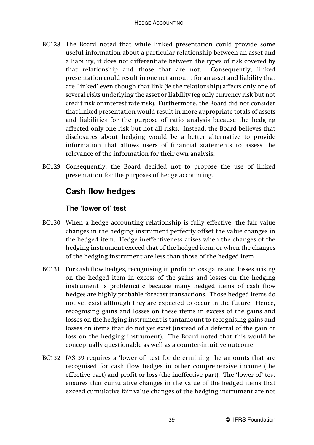- BC128 The Board noted that while linked presentation could provide some useful information about a particular relationship between an asset and a liability, it does not differentiate between the types of risk covered by that relationship and those that are not. Consequently, linked presentation could result in one net amount for an asset and liability that are 'linked' even though that link (ie the relationship) affects only one of several risks underlying the asset or liability (eg only currency risk but not credit risk or interest rate risk). Furthermore, the Board did not consider that linked presentation would result in more appropriate totals of assets and liabilities for the purpose of ratio analysis because the hedging affected only one risk but not all risks. Instead, the Board believes that disclosures about hedging would be a better alternative to provide information that allows users of financial statements to assess the relevance of the information for their own analysis.
- BC129 Consequently, the Board decided not to propose the use of linked presentation for the purposes of hedge accounting.

# **Cash flow hedges**

#### **The 'lower of' test**

- BC130 When a hedge accounting relationship is fully effective, the fair value changes in the hedging instrument perfectly offset the value changes in the hedged item. Hedge ineffectiveness arises when the changes of the hedging instrument exceed that of the hedged item, or when the changes of the hedging instrument are less than those of the hedged item.
- BC131 For cash flow hedges, recognising in profit or loss gains and losses arising on the hedged item in excess of the gains and losses on the hedging instrument is problematic because many hedged items of cash flow hedges are highly probable forecast transactions. Those hedged items do not yet exist although they are expected to occur in the future. Hence, recognising gains and losses on these items in excess of the gains and losses on the hedging instrument is tantamount to recognising gains and losses on items that do not yet exist (instead of a deferral of the gain or loss on the hedging instrument). The Board noted that this would be conceptually questionable as well as a counter-intuitive outcome.
- BC132 IAS 39 requires a 'lower of' test for determining the amounts that are recognised for cash flow hedges in other comprehensive income (the effective part) and profit or loss (the ineffective part). The 'lower of' test ensures that cumulative changes in the value of the hedged items that exceed cumulative fair value changes of the hedging instrument are not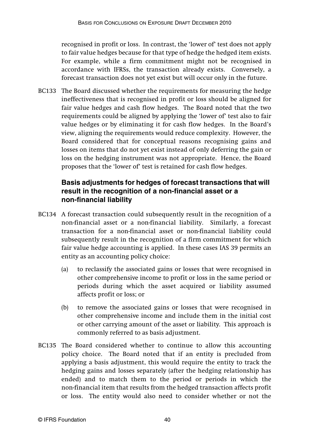recognised in profit or loss. In contrast, the 'lower of' test does not apply to fair value hedges because for that type of hedge the hedged item exists. For example, while a firm commitment might not be recognised in accordance with IFRSs, the transaction already exists. Conversely, a forecast transaction does not yet exist but will occur only in the future.

BC133 The Board discussed whether the requirements for measuring the hedge ineffectiveness that is recognised in profit or loss should be aligned for fair value hedges and cash flow hedges. The Board noted that the two requirements could be aligned by applying the 'lower of' test also to fair value hedges or by eliminating it for cash flow hedges. In the Board's view, aligning the requirements would reduce complexity. However, the Board considered that for conceptual reasons recognising gains and losses on items that do not yet exist instead of only deferring the gain or loss on the hedging instrument was not appropriate. Hence, the Board proposes that the 'lower of' test is retained for cash flow hedges.

#### **Basis adjustments for hedges of forecast transactions that will result in the recognition of a non-financial asset or a non-financial liability**

- BC134 A forecast transaction could subsequently result in the recognition of a non-financial asset or a non-financial liability. Similarly, a forecast transaction for a non-financial asset or non-financial liability could subsequently result in the recognition of a firm commitment for which fair value hedge accounting is applied. In these cases IAS 39 permits an entity as an accounting policy choice:
	- (a) to reclassify the associated gains or losses that were recognised in other comprehensive income to profit or loss in the same period or periods during which the asset acquired or liability assumed affects profit or loss; or
	- (b) to remove the associated gains or losses that were recognised in other comprehensive income and include them in the initial cost or other carrying amount of the asset or liability. This approach is commonly referred to as basis adjustment.
- BC135 The Board considered whether to continue to allow this accounting policy choice. The Board noted that if an entity is precluded from applying a basis adjustment, this would require the entity to track the hedging gains and losses separately (after the hedging relationship has ended) and to match them to the period or periods in which the non-financial item that results from the hedged transaction affects profit or loss. The entity would also need to consider whether or not the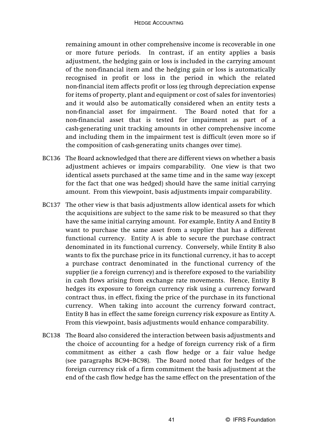remaining amount in other comprehensive income is recoverable in one or more future periods. In contrast, if an entity applies a basis adjustment, the hedging gain or loss is included in the carrying amount of the non-financial item and the hedging gain or loss is automatically recognised in profit or loss in the period in which the related non-financial item affects profit or loss (eg through depreciation expense for items of property, plant and equipment or cost of sales for inventories) and it would also be automatically considered when an entity tests a non-financial asset for impairment. The Board noted that for a non-financial asset that is tested for impairment as part of a cash-generating unit tracking amounts in other comprehensive income and including them in the impairment test is difficult (even more so if the composition of cash-generating units changes over time).

- BC136 The Board acknowledged that there are different views on whether a basis adjustment achieves or impairs comparability. One view is that two identical assets purchased at the same time and in the same way (except for the fact that one was hedged) should have the same initial carrying amount. From this viewpoint, basis adjustments impair comparability.
- BC137 The other view is that basis adjustments allow identical assets for which the acquisitions are subject to the same risk to be measured so that they have the same initial carrying amount. For example, Entity A and Entity B want to purchase the same asset from a supplier that has a different functional currency. Entity A is able to secure the purchase contract denominated in its functional currency. Conversely, while Entity B also wants to fix the purchase price in its functional currency, it has to accept a purchase contract denominated in the functional currency of the supplier (ie a foreign currency) and is therefore exposed to the variability in cash flows arising from exchange rate movements. Hence, Entity B hedges its exposure to foreign currency risk using a currency forward contract thus, in effect, fixing the price of the purchase in its functional currency. When taking into account the currency forward contract, Entity B has in effect the same foreign currency risk exposure as Entity A. From this viewpoint, basis adjustments would enhance comparability.
- BC138 The Board also considered the interaction between basis adjustments and the choice of accounting for a hedge of foreign currency risk of a firm commitment as either a cash flow hedge or a fair value hedge (see paragraphs BC94–BC98). The Board noted that for hedges of the foreign currency risk of a firm commitment the basis adjustment at the end of the cash flow hedge has the same effect on the presentation of the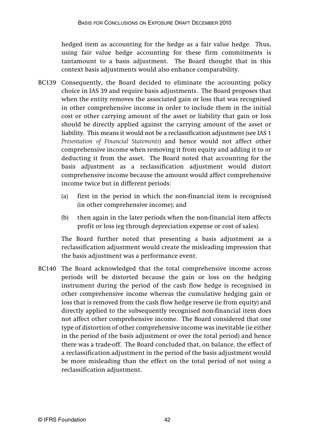hedged item as accounting for the hedge as a fair value hedge. Thus, using fair value hedge accounting for these firm commitments is tantamount to a basis adjustment. The Board thought that in this context basis adjustments would also enhance comparability.

- BC139 Consequently, the Board decided to eliminate the accounting policy choice in IAS 39 and require basis adjustments. The Board proposes that when the entity removes the associated gain or loss that was recognised in other comprehensive income in order to include them in the initial cost or other carrying amount of the asset or liability that gain or loss should be directly applied against the carrying amount of the asset or liability. This means it would not be a reclassification adjustment (see IAS 1 *Presentation of Financial Statements*) and hence would not affect other comprehensive income when removing it from equity and adding it to or deducting it from the asset. The Board noted that accounting for the basis adjustment as a reclassification adjustment would distort comprehensive income because the amount would affect comprehensive income twice but in different periods:
	- (a) first in the period in which the non-financial item is recognised (in other comprehensive income); and
	- (b) then again in the later periods when the non-financial item affects profit or loss (eg through depreciation expense or cost of sales).

The Board further noted that presenting a basis adjustment as a reclassification adjustment would create the misleading impression that the basis adjustment was a performance event.

BC140 The Board acknowledged that the total comprehensive income across periods will be distorted because the gain or loss on the hedging instrument during the period of the cash flow hedge is recognised in other comprehensive income whereas the cumulative hedging gain or loss that is removed from the cash flow hedge reserve (ie from equity) and directly applied to the subsequently recognised non-financial item does not affect other comprehensive income. The Board considered that one type of distortion of other comprehensive income was inevitable (ie either in the period of the basis adjustment or over the total period) and hence there was a trade-off. The Board concluded that, on balance, the effect of a reclassification adjustment in the period of the basis adjustment would be more misleading than the effect on the total period of not using a reclassification adjustment.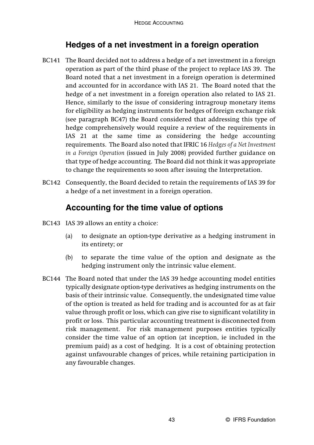# **Hedges of a net investment in a foreign operation**

- BC141 The Board decided not to address a hedge of a net investment in a foreign operation as part of the third phase of the project to replace IAS 39. The Board noted that a net investment in a foreign operation is determined and accounted for in accordance with IAS 21. The Board noted that the hedge of a net investment in a foreign operation also related to IAS 21. Hence, similarly to the issue of considering intragroup monetary items for eligibility as hedging instruments for hedges of foreign exchange risk (see paragraph BC47) the Board considered that addressing this type of hedge comprehensively would require a review of the requirements in IAS 21 at the same time as considering the hedge accounting requirements. The Board also noted that IFRIC 16 *Hedges of a Net Investment in a Foreign Operation* (issued in July 2008) provided further guidance on that type of hedge accounting. The Board did not think it was appropriate to change the requirements so soon after issuing the Interpretation.
- BC142 Consequently, the Board decided to retain the requirements of IAS 39 for a hedge of a net investment in a foreign operation.

# **Accounting for the time value of options**

- BC143 IAS 39 allows an entity a choice:
	- (a) to designate an option-type derivative as a hedging instrument in its entirety; or
	- (b) to separate the time value of the option and designate as the hedging instrument only the intrinsic value element.
- BC144 The Board noted that under the IAS 39 hedge accounting model entities typically designate option-type derivatives as hedging instruments on the basis of their intrinsic value. Consequently, the undesignated time value of the option is treated as held for trading and is accounted for as at fair value through profit or loss, which can give rise to significant volatility in profit or loss. This particular accounting treatment is disconnected from risk management. For risk management purposes entities typically consider the time value of an option (at inception, ie included in the premium paid) as a cost of hedging. It is a cost of obtaining protection against unfavourable changes of prices, while retaining participation in any favourable changes.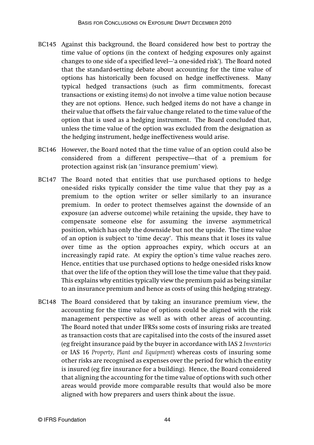- BC145 Against this background, the Board considered how best to portray the time value of options (in the context of hedging exposures only against changes to one side of a specified level—'a one-sided risk'). The Board noted that the standard-setting debate about accounting for the time value of options has historically been focused on hedge ineffectiveness. Many typical hedged transactions (such as firm commitments, forecast transactions or existing items) do not involve a time value notion because they are not options. Hence, such hedged items do not have a change in their value that offsets the fair value change related to the time value of the option that is used as a hedging instrument. The Board concluded that, unless the time value of the option was excluded from the designation as the hedging instrument, hedge ineffectiveness would arise.
- BC146 However, the Board noted that the time value of an option could also be considered from a different perspective—that of a premium for protection against risk (an 'insurance premium' view).
- BC147 The Board noted that entities that use purchased options to hedge one-sided risks typically consider the time value that they pay as a premium to the option writer or seller similarly to an insurance premium. In order to protect themselves against the downside of an exposure (an adverse outcome) while retaining the upside, they have to compensate someone else for assuming the inverse asymmetrical position, which has only the downside but not the upside. The time value of an option is subject to 'time decay'. This means that it loses its value over time as the option approaches expiry, which occurs at an increasingly rapid rate. At expiry the option's time value reaches zero. Hence, entities that use purchased options to hedge one-sided risks know that over the life of the option they will lose the time value that they paid. This explains why entities typically view the premium paid as being similar to an insurance premium and hence as costs of using this hedging strategy.
- BC148 The Board considered that by taking an insurance premium view, the accounting for the time value of options could be aligned with the risk management perspective as well as with other areas of accounting. The Board noted that under IFRSs some costs of insuring risks are treated as transaction costs that are capitalised into the costs of the insured asset (eg freight insurance paid by the buyer in accordance with IAS 2 *Inventories* or IAS 16 *Property, Plant and Equipment*) whereas costs of insuring some other risks are recognised as expenses over the period for which the entity is insured (eg fire insurance for a building). Hence, the Board considered that aligning the accounting for the time value of options with such other areas would provide more comparable results that would also be more aligned with how preparers and users think about the issue.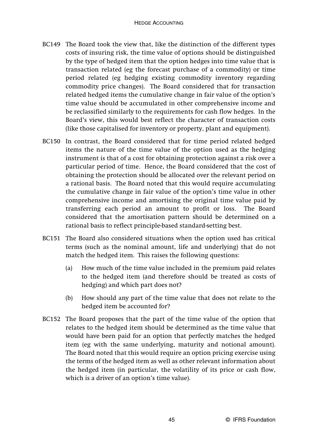- BC149 The Board took the view that, like the distinction of the different types costs of insuring risk, the time value of options should be distinguished by the type of hedged item that the option hedges into time value that is transaction related (eg the forecast purchase of a commodity) or time period related (eg hedging existing commodity inventory regarding commodity price changes). The Board considered that for transaction related hedged items the cumulative change in fair value of the option's time value should be accumulated in other comprehensive income and be reclassified similarly to the requirements for cash flow hedges. In the Board's view, this would best reflect the character of transaction costs (like those capitalised for inventory or property, plant and equipment).
- BC150 In contrast, the Board considered that for time period related hedged items the nature of the time value of the option used as the hedging instrument is that of a cost for obtaining protection against a risk over a particular period of time. Hence, the Board considered that the cost of obtaining the protection should be allocated over the relevant period on a rational basis. The Board noted that this would require accumulating the cumulative change in fair value of the option's time value in other comprehensive income and amortising the original time value paid by transferring each period an amount to profit or loss. The Board considered that the amortisation pattern should be determined on a rational basis to reflect principle-based standard-setting best.
- BC151 The Board also considered situations when the option used has critical terms (such as the nominal amount, life and underlying) that do not match the hedged item. This raises the following questions:
	- (a) How much of the time value included in the premium paid relates to the hedged item (and therefore should be treated as costs of hedging) and which part does not?
	- (b) How should any part of the time value that does not relate to the hedged item be accounted for?
- BC152 The Board proposes that the part of the time value of the option that relates to the hedged item should be determined as the time value that would have been paid for an option that perfectly matches the hedged item (eg with the same underlying, maturity and notional amount). The Board noted that this would require an option pricing exercise using the terms of the hedged item as well as other relevant information about the hedged item (in particular, the volatility of its price or cash flow, which is a driver of an option's time value).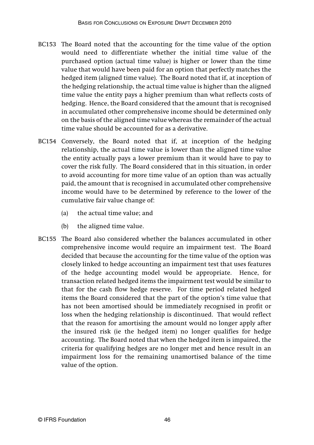- BC153 The Board noted that the accounting for the time value of the option would need to differentiate whether the initial time value of the purchased option (actual time value) is higher or lower than the time value that would have been paid for an option that perfectly matches the hedged item (aligned time value). The Board noted that if, at inception of the hedging relationship, the actual time value is higher than the aligned time value the entity pays a higher premium than what reflects costs of hedging. Hence, the Board considered that the amount that is recognised in accumulated other comprehensive income should be determined only on the basis of the aligned time value whereas the remainder of the actual time value should be accounted for as a derivative.
- BC154 Conversely, the Board noted that if, at inception of the hedging relationship, the actual time value is lower than the aligned time value the entity actually pays a lower premium than it would have to pay to cover the risk fully. The Board considered that in this situation, in order to avoid accounting for more time value of an option than was actually paid, the amount that is recognised in accumulated other comprehensive income would have to be determined by reference to the lower of the cumulative fair value change of:
	- (a) the actual time value; and
	- (b) the aligned time value.
- BC155 The Board also considered whether the balances accumulated in other comprehensive income would require an impairment test. The Board decided that because the accounting for the time value of the option was closely linked to hedge accounting an impairment test that uses features of the hedge accounting model would be appropriate. Hence, for transaction related hedged items the impairment test would be similar to that for the cash flow hedge reserve. For time period related hedged items the Board considered that the part of the option's time value that has not been amortised should be immediately recognised in profit or loss when the hedging relationship is discontinued. That would reflect that the reason for amortising the amount would no longer apply after the insured risk (ie the hedged item) no longer qualifies for hedge accounting. The Board noted that when the hedged item is impaired, the criteria for qualifying hedges are no longer met and hence result in an impairment loss for the remaining unamortised balance of the time value of the option.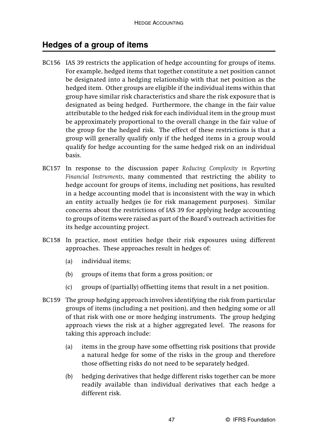# **Hedges of a group of items**

- BC156 IAS 39 restricts the application of hedge accounting for groups of items. For example, hedged items that together constitute a net position cannot be designated into a hedging relationship with that net position as the hedged item. Other groups are eligible if the individual items within that group have similar risk characteristics and share the risk exposure that is designated as being hedged. Furthermore, the change in the fair value attributable to the hedged risk for each individual item in the group must be approximately proportional to the overall change in the fair value of the group for the hedged risk. The effect of these restrictions is that a group will generally qualify only if the hedged items in a group would qualify for hedge accounting for the same hedged risk on an individual basis.
- BC157 In response to the discussion paper *Reducing Complexity in Reporting Financial Instruments*, many commented that restricting the ability to hedge account for groups of items, including net positions, has resulted in a hedge accounting model that is inconsistent with the way in which an entity actually hedges (ie for risk management purposes). Similar concerns about the restrictions of IAS 39 for applying hedge accounting to groups of items were raised as part of the Board's outreach activities for its hedge accounting project.
- BC158 In practice, most entities hedge their risk exposures using different approaches. These approaches result in hedges of:
	- (a) individual items;
	- (b) groups of items that form a gross position; or
	- (c) groups of (partially) offsetting items that result in a net position.
- BC159 The group hedging approach involves identifying the risk from particular groups of items (including a net position), and then hedging some or all of that risk with one or more hedging instruments. The group hedging approach views the risk at a higher aggregated level. The reasons for taking this approach include:
	- (a) items in the group have some offsetting risk positions that provide a natural hedge for some of the risks in the group and therefore those offsetting risks do not need to be separately hedged.
	- (b) hedging derivatives that hedge different risks together can be more readily available than individual derivatives that each hedge a different risk.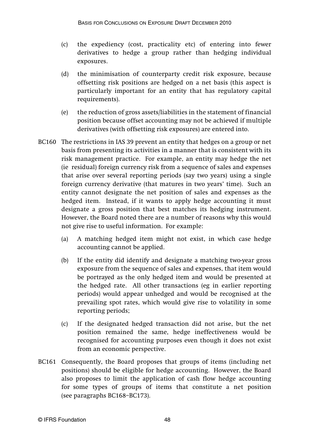- (c) the expediency (cost, practicality etc) of entering into fewer derivatives to hedge a group rather than hedging individual exposures.
- (d) the minimisation of counterparty credit risk exposure, because offsetting risk positions are hedged on a net basis (this aspect is particularly important for an entity that has regulatory capital requirements).
- (e) the reduction of gross assets/liabilities in the statement of financial position because offset accounting may not be achieved if multiple derivatives (with offsetting risk exposures) are entered into.
- BC160 The restrictions in IAS 39 prevent an entity that hedges on a group or net basis from presenting its activities in a manner that is consistent with its risk management practice. For example, an entity may hedge the net (ie residual) foreign currency risk from a sequence of sales and expenses that arise over several reporting periods (say two years) using a single foreign currency derivative (that matures in two years' time). Such an entity cannot designate the net position of sales and expenses as the hedged item. Instead, if it wants to apply hedge accounting it must designate a gross position that best matches its hedging instrument. However, the Board noted there are a number of reasons why this would not give rise to useful information. For example:
	- (a) A matching hedged item might not exist, in which case hedge accounting cannot be applied.
	- (b) If the entity did identify and designate a matching two-year gross exposure from the sequence of sales and expenses, that item would be portrayed as the only hedged item and would be presented at the hedged rate. All other transactions (eg in earlier reporting periods) would appear unhedged and would be recognised at the prevailing spot rates, which would give rise to volatility in some reporting periods;
	- (c) If the designated hedged transaction did not arise, but the net position remained the same, hedge ineffectiveness would be recognised for accounting purposes even though it does not exist from an economic perspective.
- BC161 Consequently, the Board proposes that groups of items (including net positions) should be eligible for hedge accounting. However, the Board also proposes to limit the application of cash flow hedge accounting for some types of groups of items that constitute a net position (see paragraphs BC168–BC173).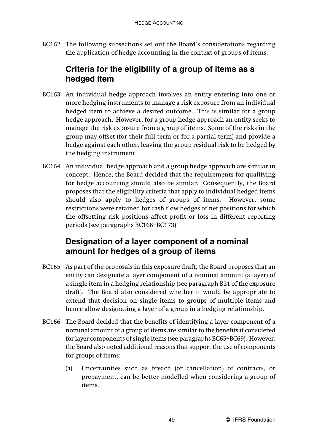BC162 The following subsections set out the Board's considerations regarding the application of hedge accounting in the context of groups of items.

# **Criteria for the eligibility of a group of items as a hedged item**

- BC163 An individual hedge approach involves an entity entering into one or more hedging instruments to manage a risk exposure from an individual hedged item to achieve a desired outcome. This is similar for a group hedge approach. However, for a group hedge approach an entity seeks to manage the risk exposure from a group of items. Some of the risks in the group may offset (for their full term or for a partial term) and provide a hedge against each other, leaving the group residual risk to be hedged by the hedging instrument.
- BC164 An individual hedge approach and a group hedge approach are similar in concept. Hence, the Board decided that the requirements for qualifying for hedge accounting should also be similar. Consequently, the Board proposes that the eligibility criteria that apply to individual hedged items should also apply to hedges of groups of items. However, some restrictions were retained for cash flow hedges of net positions for which the offsetting risk positions affect profit or loss in different reporting periods (see paragraphs BC168–BC173).

## **Designation of a layer component of a nominal amount for hedges of a group of items**

- BC165 As part of the proposals in this exposure draft, the Board proposes that an entity can designate a layer component of a nominal amount (a layer) of a single item in a hedging relationship (see paragraph B21 of the exposure draft)*.* The Board also considered whether it would be appropriate to extend that decision on single items to groups of multiple items and hence allow designating a layer of a group in a hedging relationship.
- BC166 The Board decided that the benefits of identifying a layer component of a nominal amount of a group of items are similar to the benefits it considered for layer components of single items (see paragraphs BC65–BC69). However, the Board also noted additional reasons that support the use of components for groups of items:
	- (a) Uncertainties such as breach (or cancellation) of contracts, or prepayment, can be better modelled when considering a group of items.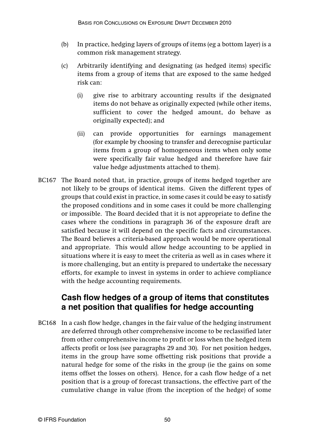- (b) In practice, hedging layers of groups of items (eg a bottom layer) is a common risk management strategy.
- (c) Arbitrarily identifying and designating (as hedged items) specific items from a group of items that are exposed to the same hedged risk can:
	- (i) give rise to arbitrary accounting results if the designated items do not behave as originally expected (while other items, sufficient to cover the hedged amount, do behave as originally expected); and
	- (ii) can provide opportunities for earnings management (for example by choosing to transfer and derecognise particular items from a group of homogeneous items when only some were specifically fair value hedged and therefore have fair value hedge adjustments attached to them).
- BC167 The Board noted that, in practice, groups of items hedged together are not likely to be groups of identical items. Given the different types of groups that could exist in practice, in some cases it could be easy to satisfy the proposed conditions and in some cases it could be more challenging or impossible. The Board decided that it is not appropriate to define the cases where the conditions in paragraph 36 of the exposure draft are satisfied because it will depend on the specific facts and circumstances. The Board believes a criteria-based approach would be more operational and appropriate. This would allow hedge accounting to be applied in situations where it is easy to meet the criteria as well as in cases where it is more challenging, but an entity is prepared to undertake the necessary efforts, for example to invest in systems in order to achieve compliance with the hedge accounting requirements.

### **Cash flow hedges of a group of items that constitutes a net position that qualifies for hedge accounting**

BC168 In a cash flow hedge, changes in the fair value of the hedging instrument are deferred through other comprehensive income to be reclassified later from other comprehensive income to profit or loss when the hedged item affects profit or loss (see paragraphs 29 and 30). For net position hedges, items in the group have some offsetting risk positions that provide a natural hedge for some of the risks in the group (ie the gains on some items offset the losses on others). Hence, for a cash flow hedge of a net position that is a group of forecast transactions, the effective part of the cumulative change in value (from the inception of the hedge) of some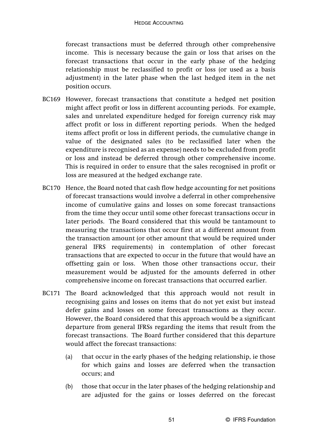forecast transactions must be deferred through other comprehensive income. This is necessary because the gain or loss that arises on the forecast transactions that occur in the early phase of the hedging relationship must be reclassified to profit or loss (or used as a basis adjustment) in the later phase when the last hedged item in the net position occurs.

- BC169 However, forecast transactions that constitute a hedged net position might affect profit or loss in different accounting periods. For example, sales and unrelated expenditure hedged for foreign currency risk may affect profit or loss in different reporting periods. When the hedged items affect profit or loss in different periods, the cumulative change in value of the designated sales (to be reclassified later when the expenditure is recognised as an expense) needs to be excluded from profit or loss and instead be deferred through other comprehensive income. This is required in order to ensure that the sales recognised in profit or loss are measured at the hedged exchange rate.
- BC170 Hence, the Board noted that cash flow hedge accounting for net positions of forecast transactions would involve a deferral in other comprehensive income of cumulative gains and losses on some forecast transactions from the time they occur until some other forecast transactions occur in later periods. The Board considered that this would be tantamount to measuring the transactions that occur first at a different amount from the transaction amount (or other amount that would be required under general IFRS requirements) in contemplation of other forecast transactions that are expected to occur in the future that would have an offsetting gain or loss. When those other transactions occur, their measurement would be adjusted for the amounts deferred in other comprehensive income on forecast transactions that occurred earlier.
- BC171 The Board acknowledged that this approach would not result in recognising gains and losses on items that do not yet exist but instead defer gains and losses on some forecast transactions as they occur. However, the Board considered that this approach would be a significant departure from general IFRSs regarding the items that result from the forecast transactions. The Board further considered that this departure would affect the forecast transactions:
	- (a) that occur in the early phases of the hedging relationship, ie those for which gains and losses are deferred when the transaction occurs; and
	- (b) those that occur in the later phases of the hedging relationship and are adjusted for the gains or losses deferred on the forecast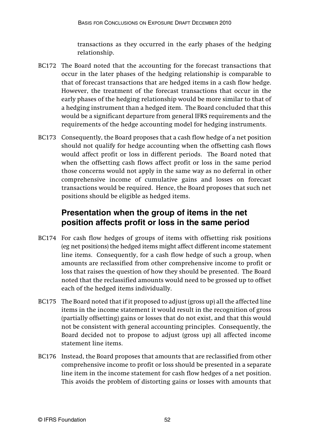transactions as they occurred in the early phases of the hedging relationship.

- BC172 The Board noted that the accounting for the forecast transactions that occur in the later phases of the hedging relationship is comparable to that of forecast transactions that are hedged items in a cash flow hedge. However, the treatment of the forecast transactions that occur in the early phases of the hedging relationship would be more similar to that of a hedging instrument than a hedged item. The Board concluded that this would be a significant departure from general IFRS requirements and the requirements of the hedge accounting model for hedging instruments.
- BC173 Consequently, the Board proposes that a cash flow hedge of a net position should not qualify for hedge accounting when the offsetting cash flows would affect profit or loss in different periods. The Board noted that when the offsetting cash flows affect profit or loss in the same period those concerns would not apply in the same way as no deferral in other comprehensive income of cumulative gains and losses on forecast transactions would be required. Hence, the Board proposes that such net positions should be eligible as hedged items.

## **Presentation when the group of items in the net position affects profit or loss in the same period**

- BC174 For cash flow hedges of groups of items with offsetting risk positions (eg net positions) the hedged items might affect different income statement line items. Consequently, for a cash flow hedge of such a group, when amounts are reclassified from other comprehensive income to profit or loss that raises the question of how they should be presented. The Board noted that the reclassified amounts would need to be grossed up to offset each of the hedged items individually.
- BC175 The Board noted that if it proposed to adjust (gross up) all the affected line items in the income statement it would result in the recognition of gross (partially offsetting) gains or losses that do not exist, and that this would not be consistent with general accounting principles. Consequently, the Board decided not to propose to adjust (gross up) all affected income statement line items.
- BC176 Instead, the Board proposes that amounts that are reclassified from other comprehensive income to profit or loss should be presented in a separate line item in the income statement for cash flow hedges of a net position. This avoids the problem of distorting gains or losses with amounts that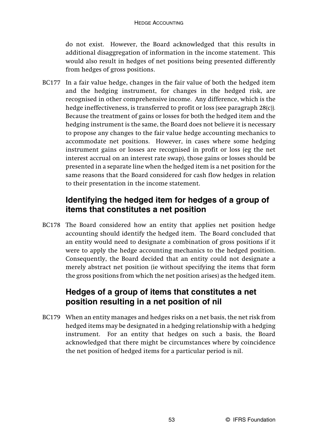do not exist. However, the Board acknowledged that this results in additional disaggregation of information in the income statement. This would also result in hedges of net positions being presented differently from hedges of gross positions.

BC177 In a fair value hedge, changes in the fair value of both the hedged item and the hedging instrument, for changes in the hedged risk, are recognised in other comprehensive income. Any difference, which is the hedge ineffectiveness, is transferred to profit or loss (see paragraph 28(c))*.* Because the treatment of gains or losses for both the hedged item and the hedging instrument is the same, the Board does not believe it is necessary to propose any changes to the fair value hedge accounting mechanics to accommodate net positions. However, in cases where some hedging instrument gains or losses are recognised in profit or loss (eg the net interest accrual on an interest rate swap), those gains or losses should be presented in a separate line when the hedged item is a net position for the same reasons that the Board considered for cash flow hedges in relation to their presentation in the income statement.

## **Identifying the hedged item for hedges of a group of items that constitutes a net position**

BC178 The Board considered how an entity that applies net position hedge accounting should identify the hedged item. The Board concluded that an entity would need to designate a combination of gross positions if it were to apply the hedge accounting mechanics to the hedged position. Consequently, the Board decided that an entity could not designate a merely abstract net position (ie without specifying the items that form the gross positions from which the net position arises) as the hedged item.

## **Hedges of a group of items that constitutes a net position resulting in a net position of nil**

BC179 When an entity manages and hedges risks on a net basis, the net risk from hedged items may be designated in a hedging relationship with a hedging instrument. For an entity that hedges on such a basis, the Board acknowledged that there might be circumstances where by coincidence the net position of hedged items for a particular period is nil.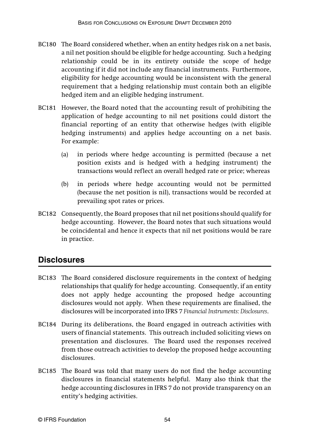- BC180 The Board considered whether, when an entity hedges risk on a net basis, a nil net position should be eligible for hedge accounting. Such a hedging relationship could be in its entirety outside the scope of hedge accounting if it did not include any financial instruments. Furthermore, eligibility for hedge accounting would be inconsistent with the general requirement that a hedging relationship must contain both an eligible hedged item and an eligible hedging instrument.
- BC181 However, the Board noted that the accounting result of prohibiting the application of hedge accounting to nil net positions could distort the financial reporting of an entity that otherwise hedges (with eligible hedging instruments) and applies hedge accounting on a net basis. For example:
	- (a) in periods where hedge accounting is permitted (because a net position exists and is hedged with a hedging instrument) the transactions would reflect an overall hedged rate or price; whereas
	- (b) in periods where hedge accounting would not be permitted (because the net position is nil), transactions would be recorded at prevailing spot rates or prices.
- BC182 Consequently, the Board proposes that nil net positions should qualify for hedge accounting. However, the Board notes that such situations would be coincidental and hence it expects that nil net positions would be rare in practice.

# **Disclosures**

- BC183 The Board considered disclosure requirements in the context of hedging relationships that qualify for hedge accounting. Consequently, if an entity does not apply hedge accounting the proposed hedge accounting disclosures would not apply. When these requirements are finalised, the disclosures will be incorporated into IFRS 7 *Financial Instruments: Disclosures*.
- BC184 During its deliberations, the Board engaged in outreach activities with users of financial statements. This outreach included soliciting views on presentation and disclosures. The Board used the responses received from those outreach activities to develop the proposed hedge accounting disclosures.
- BC185 The Board was told that many users do not find the hedge accounting disclosures in financial statements helpful. Many also think that the hedge accounting disclosures in IFRS 7 do not provide transparency on an entity's hedging activities.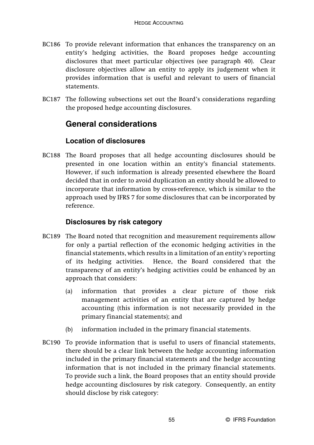- BC186 To provide relevant information that enhances the transparency on an entity's hedging activities, the Board proposes hedge accounting disclosures that meet particular objectives (see paragraph 40). Clear disclosure objectives allow an entity to apply its judgement when it provides information that is useful and relevant to users of financial statements.
- BC187 The following subsections set out the Board's considerations regarding the proposed hedge accounting disclosures.

### **General considerations**

#### **Location of disclosures**

BC188 The Board proposes that all hedge accounting disclosures should be presented in one location within an entity's financial statements. However, if such information is already presented elsewhere the Board decided that in order to avoid duplication an entity should be allowed to incorporate that information by cross-reference, which is similar to the approach used by IFRS 7 for some disclosures that can be incorporated by reference.

#### **Disclosures by risk category**

- BC189 The Board noted that recognition and measurement requirements allow for only a partial reflection of the economic hedging activities in the financial statements, which results in a limitation of an entity's reporting of its hedging activities. Hence, the Board considered that the transparency of an entity's hedging activities could be enhanced by an approach that considers:
	- (a) information that provides a clear picture of those risk management activities of an entity that are captured by hedge accounting (this information is not necessarily provided in the primary financial statements); and
	- (b) information included in the primary financial statements.
- BC190 To provide information that is useful to users of financial statements, there should be a clear link between the hedge accounting information included in the primary financial statements and the hedge accounting information that is not included in the primary financial statements. To provide such a link, the Board proposes that an entity should provide hedge accounting disclosures by risk category. Consequently, an entity should disclose by risk category: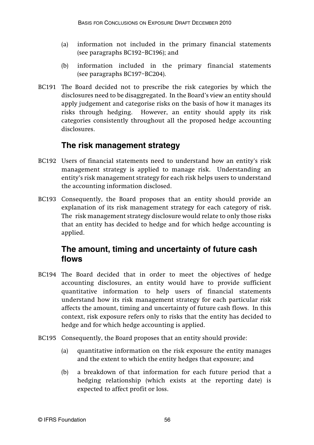- (a) information not included in the primary financial statements (see paragraphs BC192–BC196); and
- (b) information included in the primary financial statements (see paragraphs BC197–BC204).
- BC191 The Board decided not to prescribe the risk categories by which the disclosures need to be disaggregated. In the Board's view an entity should apply judgement and categorise risks on the basis of how it manages its risks through hedging. However, an entity should apply its risk categories consistently throughout all the proposed hedge accounting disclosures.

# **The risk management strategy**

- BC192 Users of financial statements need to understand how an entity's risk management strategy is applied to manage risk. Understanding an entity's risk management strategy for each risk helps users to understand the accounting information disclosed.
- BC193 Consequently, the Board proposes that an entity should provide an explanation of its risk management strategy for each category of risk. The risk management strategy disclosure would relate to only those risks that an entity has decided to hedge and for which hedge accounting is applied.

## **The amount, timing and uncertainty of future cash flows**

- BC194 The Board decided that in order to meet the objectives of hedge accounting disclosures, an entity would have to provide sufficient quantitative information to help users of financial statements understand how its risk management strategy for each particular risk affects the amount, timing and uncertainty of future cash flows. In this context, risk exposure refers only to risks that the entity has decided to hedge and for which hedge accounting is applied.
- BC195 Consequently, the Board proposes that an entity should provide:
	- (a) quantitative information on the risk exposure the entity manages and the extent to which the entity hedges that exposure; and
	- (b) a breakdown of that information for each future period that a hedging relationship (which exists at the reporting date) is expected to affect profit or loss.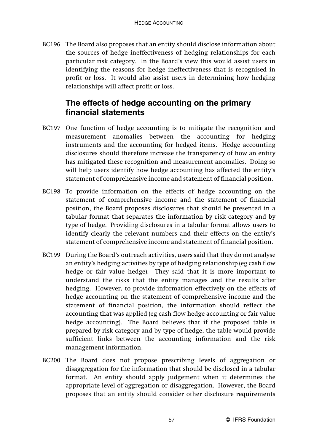BC196 The Board also proposes that an entity should disclose information about the sources of hedge ineffectiveness of hedging relationships for each particular risk category. In the Board's view this would assist users in identifying the reasons for hedge ineffectiveness that is recognised in profit or loss. It would also assist users in determining how hedging relationships will affect profit or loss.

#### **The effects of hedge accounting on the primary financial statements**

- BC197 One function of hedge accounting is to mitigate the recognition and measurement anomalies between the accounting for hedging instruments and the accounting for hedged items. Hedge accounting disclosures should therefore increase the transparency of how an entity has mitigated these recognition and measurement anomalies. Doing so will help users identify how hedge accounting has affected the entity's statement of comprehensive income and statement of financial position.
- BC198 To provide information on the effects of hedge accounting on the statement of comprehensive income and the statement of financial position, the Board proposes disclosures that should be presented in a tabular format that separates the information by risk category and by type of hedge. Providing disclosures in a tabular format allows users to identify clearly the relevant numbers and their effects on the entity's statement of comprehensive income and statement of financial position.
- BC199 During the Board's outreach activities, users said that they do not analyse an entity's hedging activities by type of hedging relationship (eg cash flow hedge or fair value hedge). They said that it is more important to understand the risks that the entity manages and the results after hedging. However, to provide information effectively on the effects of hedge accounting on the statement of comprehensive income and the statement of financial position, the information should reflect the accounting that was applied (eg cash flow hedge accounting or fair value hedge accounting). The Board believes that if the proposed table is prepared by risk category and by type of hedge, the table would provide sufficient links between the accounting information and the risk management information.
- BC200 The Board does not propose prescribing levels of aggregation or disaggregation for the information that should be disclosed in a tabular format. An entity should apply judgement when it determines the appropriate level of aggregation or disaggregation. However, the Board proposes that an entity should consider other disclosure requirements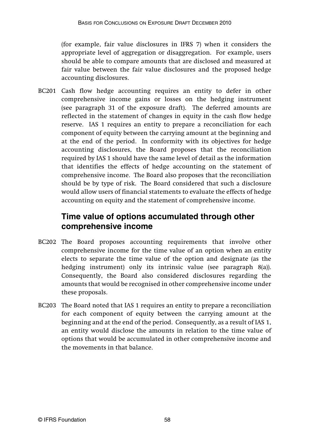(for example, fair value disclosures in IFRS 7) when it considers the appropriate level of aggregation or disaggregation. For example, users should be able to compare amounts that are disclosed and measured at fair value between the fair value disclosures and the proposed hedge accounting disclosures.

BC201 Cash flow hedge accounting requires an entity to defer in other comprehensive income gains or losses on the hedging instrument (see paragraph 31 of the exposure draft). The deferred amounts are reflected in the statement of changes in equity in the cash flow hedge reserve. IAS 1 requires an entity to prepare a reconciliation for each component of equity between the carrying amount at the beginning and at the end of the period. In conformity with its objectives for hedge accounting disclosures, the Board proposes that the reconciliation required by IAS 1 should have the same level of detail as the information that identifies the effects of hedge accounting on the statement of comprehensive income. The Board also proposes that the reconciliation should be by type of risk. The Board considered that such a disclosure would allow users of financial statements to evaluate the effects of hedge accounting on equity and the statement of comprehensive income.

### **Time value of options accumulated through other comprehensive income**

- BC202 The Board proposes accounting requirements that involve other comprehensive income for the time value of an option when an entity elects to separate the time value of the option and designate (as the hedging instrument) only its intrinsic value (see paragraph 8(a)). Consequently, the Board also considered disclosures regarding the amounts that would be recognised in other comprehensive income under these proposals.
- BC203 The Board noted that IAS 1 requires an entity to prepare a reconciliation for each component of equity between the carrying amount at the beginning and at the end of the period. Consequently, as a result of IAS 1, an entity would disclose the amounts in relation to the time value of options that would be accumulated in other comprehensive income and the movements in that balance.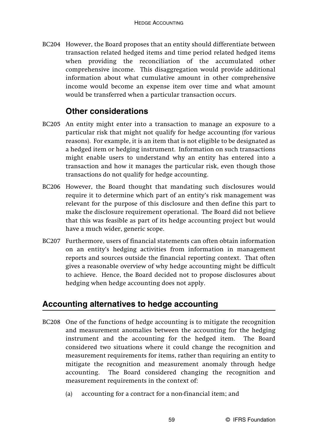BC204 However, the Board proposes that an entity should differentiate between transaction related hedged items and time period related hedged items when providing the reconciliation of the accumulated other comprehensive income. This disaggregation would provide additional information about what cumulative amount in other comprehensive income would become an expense item over time and what amount would be transferred when a particular transaction occurs.

#### **Other considerations**

- BC205 An entity might enter into a transaction to manage an exposure to a particular risk that might not qualify for hedge accounting (for various reasons). For example, it is an item that is not eligible to be designated as a hedged item or hedging instrument. Information on such transactions might enable users to understand why an entity has entered into a transaction and how it manages the particular risk, even though those transactions do not qualify for hedge accounting.
- BC206 However, the Board thought that mandating such disclosures would require it to determine which part of an entity's risk management was relevant for the purpose of this disclosure and then define this part to make the disclosure requirement operational. The Board did not believe that this was feasible as part of its hedge accounting project but would have a much wider, generic scope.
- BC207 Furthermore, users of financial statements can often obtain information on an entity's hedging activities from information in management reports and sources outside the financial reporting context. That often gives a reasonable overview of why hedge accounting might be difficult to achieve. Hence, the Board decided not to propose disclosures about hedging when hedge accounting does not apply.

# **Accounting alternatives to hedge accounting**

- BC208 One of the functions of hedge accounting is to mitigate the recognition and measurement anomalies between the accounting for the hedging instrument and the accounting for the hedged item. The Board considered two situations where it could change the recognition and measurement requirements for items, rather than requiring an entity to mitigate the recognition and measurement anomaly through hedge accounting. The Board considered changing the recognition and measurement requirements in the context of:
	- (a) accounting for a contract for a non-financial item; and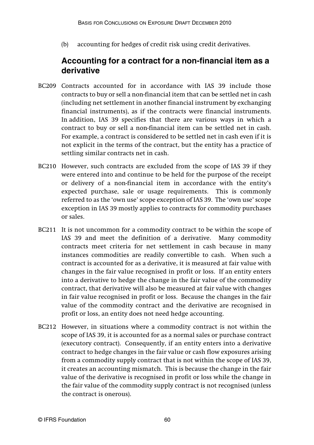(b) accounting for hedges of credit risk using credit derivatives.

### **Accounting for a contract for a non-financial item as a derivative**

- BC209 Contracts accounted for in accordance with IAS 39 include those contracts to buy or sell a non-financial item that can be settled net in cash (including net settlement in another financial instrument by exchanging financial instruments), as if the contracts were financial instruments. In addition, IAS 39 specifies that there are various ways in which a contract to buy or sell a non-financial item can be settled net in cash. For example, a contract is considered to be settled net in cash even if it is not explicit in the terms of the contract, but the entity has a practice of settling similar contracts net in cash.
- BC210 However, such contracts are excluded from the scope of IAS 39 if they were entered into and continue to be held for the purpose of the receipt or delivery of a non-financial item in accordance with the entity's expected purchase, sale or usage requirements. This is commonly referred to as the 'own use' scope exception of IAS 39. The 'own use' scope exception in IAS 39 mostly applies to contracts for commodity purchases or sales.
- BC211 It is not uncommon for a commodity contract to be within the scope of IAS 39 and meet the definition of a derivative. Many commodity contracts meet criteria for net settlement in cash because in many instances commodities are readily convertible to cash. When such a contract is accounted for as a derivative, it is measured at fair value with changes in the fair value recognised in profit or loss. If an entity enters into a derivative to hedge the change in the fair value of the commodity contract, that derivative will also be measured at fair value with changes in fair value recognised in profit or loss. Because the changes in the fair value of the commodity contract and the derivative are recognised in profit or loss, an entity does not need hedge accounting.
- BC212 However, in situations where a commodity contract is not within the scope of IAS 39, it is accounted for as a normal sales or purchase contract (executory contract). Consequently, if an entity enters into a derivative contract to hedge changes in the fair value or cash flow exposures arising from a commodity supply contract that is not within the scope of IAS 39, it creates an accounting mismatch. This is because the change in the fair value of the derivative is recognised in profit or loss while the change in the fair value of the commodity supply contract is not recognised (unless the contract is onerous).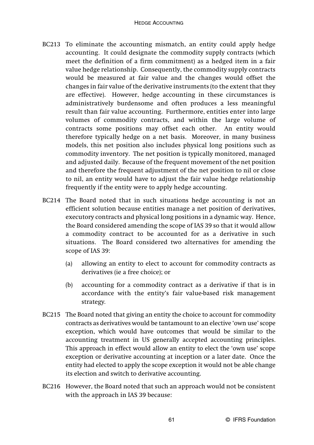- BC213 To eliminate the accounting mismatch, an entity could apply hedge accounting. It could designate the commodity supply contracts (which meet the definition of a firm commitment) as a hedged item in a fair value hedge relationship. Consequently, the commodity supply contracts would be measured at fair value and the changes would offset the changes in fair value of the derivative instruments (to the extent that they are effective). However, hedge accounting in these circumstances is administratively burdensome and often produces a less meaningful result than fair value accounting. Furthermore, entities enter into large volumes of commodity contracts, and within the large volume of contracts some positions may offset each other. An entity would therefore typically hedge on a net basis. Moreover, in many business models, this net position also includes physical long positions such as commodity inventory. The net position is typically monitored, managed and adjusted daily. Because of the frequent movement of the net position and therefore the frequent adjustment of the net position to nil or close to nil, an entity would have to adjust the fair value hedge relationship frequently if the entity were to apply hedge accounting.
- BC214 The Board noted that in such situations hedge accounting is not an efficient solution because entities manage a net position of derivatives, executory contracts and physical long positions in a dynamic way. Hence, the Board considered amending the scope of IAS 39 so that it would allow a commodity contract to be accounted for as a derivative in such situations. The Board considered two alternatives for amending the scope of IAS 39:
	- (a) allowing an entity to elect to account for commodity contracts as derivatives (ie a free choice); or
	- (b) accounting for a commodity contract as a derivative if that is in accordance with the entity's fair value-based risk management strategy.
- BC215 The Board noted that giving an entity the choice to account for commodity contracts as derivatives would be tantamount to an elective 'own use' scope exception, which would have outcomes that would be similar to the accounting treatment in US generally accepted accounting principles. This approach in effect would allow an entity to elect the 'own use' scope exception or derivative accounting at inception or a later date. Once the entity had elected to apply the scope exception it would not be able change its election and switch to derivative accounting.
- BC216 However, the Board noted that such an approach would not be consistent with the approach in IAS 39 because: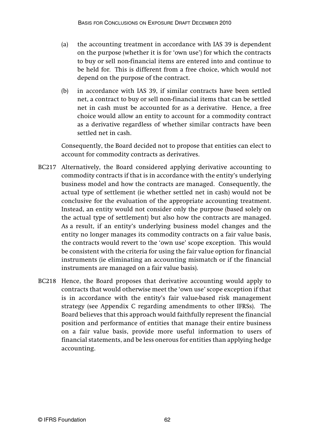- (a) the accounting treatment in accordance with IAS 39 is dependent on the purpose (whether it is for 'own use') for which the contracts to buy or sell non-financial items are entered into and continue to be held for. This is different from a free choice, which would not depend on the purpose of the contract.
- (b) in accordance with IAS 39, if similar contracts have been settled net, a contract to buy or sell non-financial items that can be settled net in cash must be accounted for as a derivative. Hence, a free choice would allow an entity to account for a commodity contract as a derivative regardless of whether similar contracts have been settled net in cash.

Consequently, the Board decided not to propose that entities can elect to account for commodity contracts as derivatives.

- BC217 Alternatively, the Board considered applying derivative accounting to commodity contracts if that is in accordance with the entity's underlying business model and how the contracts are managed. Consequently, the actual type of settlement (ie whether settled net in cash) would not be conclusive for the evaluation of the appropriate accounting treatment. Instead, an entity would not consider only the purpose (based solely on the actual type of settlement) but also how the contracts are managed. As a result, if an entity's underlying business model changes and the entity no longer manages its commodity contracts on a fair value basis, the contracts would revert to the 'own use' scope exception. This would be consistent with the criteria for using the fair value option for financial instruments (ie eliminating an accounting mismatch or if the financial instruments are managed on a fair value basis).
- BC218 Hence, the Board proposes that derivative accounting would apply to contracts that would otherwise meet the 'own use' scope exception if that is in accordance with the entity's fair value-based risk management strategy (see Appendix C regarding amendments to other IFRSs). The Board believes that this approach would faithfully represent the financial position and performance of entities that manage their entire business on a fair value basis, provide more useful information to users of financial statements, and be less onerous for entities than applying hedge accounting.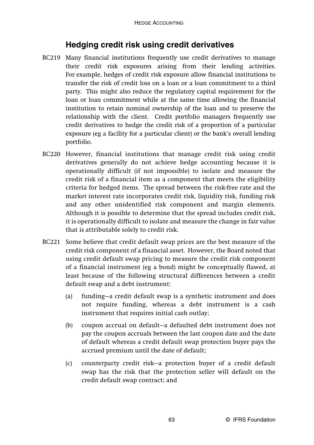## **Hedging credit risk using credit derivatives**

- BC219 Many financial institutions frequently use credit derivatives to manage their credit risk exposures arising from their lending activities. For example, hedges of credit risk exposure allow financial institutions to transfer the risk of credit loss on a loan or a loan commitment to a third party. This might also reduce the regulatory capital requirement for the loan or loan commitment while at the same time allowing the financial institution to retain nominal ownership of the loan and to preserve the relationship with the client. Credit portfolio managers frequently use credit derivatives to hedge the credit risk of a proportion of a particular exposure (eg a facility for a particular client) or the bank's overall lending portfolio.
- BC220 However, financial institutions that manage credit risk using credit derivatives generally do not achieve hedge accounting because it is operationally difficult (if not impossible) to isolate and measure the credit risk of a financial item as a component that meets the eligibility criteria for hedged items. The spread between the risk-free rate and the market interest rate incorporates credit risk, liquidity risk, funding risk and any other unidentified risk component and margin elements. Although it is possible to determine that the spread includes credit risk, it is operationally difficult to isolate and measure the change in fair value that is attributable solely to credit risk.
- BC221 Some believe that credit default swap prices are the best measure of the credit risk component of a financial asset. However, the Board noted that using credit default swap pricing to measure the credit risk component of a financial instrument (eg a bond) might be conceptually flawed, at least because of the following structural differences between a credit default swap and a debt instrument:
	- (a) funding—a credit default swap is a synthetic instrument and does not require funding, whereas a debt instrument is a cash instrument that requires initial cash outlay;
	- (b) coupon accrual on default—a defaulted debt instrument does not pay the coupon accruals between the last coupon date and the date of default whereas a credit default swap protection buyer pays the accrued premium until the date of default;
	- (c) counterparty credit risk—a protection buyer of a credit default swap has the risk that the protection seller will default on the credit default swap contract; and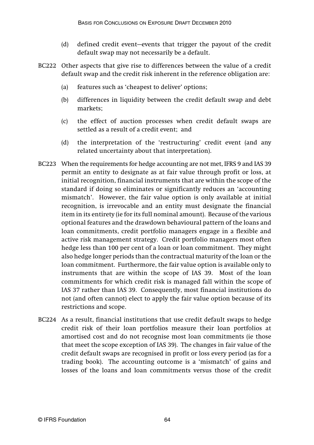- (d) defined credit event—events that trigger the payout of the credit default swap may not necessarily be a default.
- BC222 Other aspects that give rise to differences between the value of a credit default swap and the credit risk inherent in the reference obligation are:
	- (a) features such as 'cheapest to deliver' options;
	- (b) differences in liquidity between the credit default swap and debt markets;
	- (c) the effect of auction processes when credit default swaps are settled as a result of a credit event; and
	- (d) the interpretation of the 'restructuring' credit event (and any related uncertainty about that interpretation).
- BC223 When the requirements for hedge accounting are not met, IFRS 9 and IAS 39 permit an entity to designate as at fair value through profit or loss, at initial recognition, financial instruments that are within the scope of the standard if doing so eliminates or significantly reduces an 'accounting mismatch'. However, the fair value option is only available at initial recognition, is irrevocable and an entity must designate the financial item in its entirety (ie for its full nominal amount). Because of the various optional features and the drawdown behavioural pattern of the loans and loan commitments, credit portfolio managers engage in a flexible and active risk management strategy. Credit portfolio managers most often hedge less than 100 per cent of a loan or loan commitment. They might also hedge longer periods than the contractual maturity of the loan or the loan commitment. Furthermore, the fair value option is available only to instruments that are within the scope of IAS 39. Most of the loan commitments for which credit risk is managed fall within the scope of IAS 37 rather than IAS 39. Consequently, most financial institutions do not (and often cannot) elect to apply the fair value option because of its restrictions and scope.
- BC224 As a result, financial institutions that use credit default swaps to hedge credit risk of their loan portfolios measure their loan portfolios at amortised cost and do not recognise most loan commitments (ie those that meet the scope exception of IAS 39). The changes in fair value of the credit default swaps are recognised in profit or loss every period (as for a trading book). The accounting outcome is a 'mismatch' of gains and losses of the loans and loan commitments versus those of the credit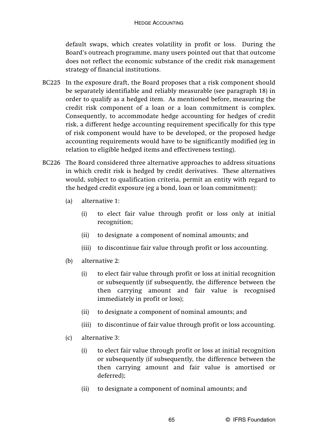default swaps, which creates volatility in profit or loss. During the Board's outreach programme, many users pointed out that that outcome does not reflect the economic substance of the credit risk management strategy of financial institutions.

- BC225 In the exposure draft, the Board proposes that a risk component should be separately identifiable and reliably measurable (see paragraph 18) in order to qualify as a hedged item. As mentioned before, measuring the credit risk component of a loan or a loan commitment is complex. Consequently, to accommodate hedge accounting for hedges of credit risk, a different hedge accounting requirement specifically for this type of risk component would have to be developed, or the proposed hedge accounting requirements would have to be significantly modified (eg in relation to eligible hedged items and effectiveness testing).
- BC226 The Board considered three alternative approaches to address situations in which credit risk is hedged by credit derivatives. These alternatives would, subject to qualification criteria, permit an entity with regard to the hedged credit exposure (eg a bond, loan or loan commitment):
	- (a) alternative 1:
		- (i) to elect fair value through profit or loss only at initial recognition;
		- (ii) to designate a component of nominal amounts; and
		- (iii) to discontinue fair value through profit or loss accounting.
	- (b) alternative 2:
		- (i) to elect fair value through profit or loss at initial recognition or subsequently (if subsequently, the difference between the then carrying amount and fair value is recognised immediately in profit or loss);
		- (ii) to designate a component of nominal amounts; and
		- (iii) to discontinue of fair value through profit or loss accounting.
	- (c) alternative 3:
		- (i) to elect fair value through profit or loss at initial recognition or subsequently (if subsequently, the difference between the then carrying amount and fair value is amortised or deferred);
		- (ii) to designate a component of nominal amounts; and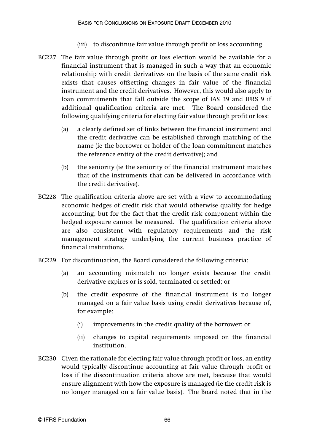- (iii) to discontinue fair value through profit or loss accounting.
- BC227 The fair value through profit or loss election would be available for a financial instrument that is managed in such a way that an economic relationship with credit derivatives on the basis of the same credit risk exists that causes offsetting changes in fair value of the financial instrument and the credit derivatives. However, this would also apply to loan commitments that fall outside the scope of IAS 39 and IFRS 9 if additional qualification criteria are met. The Board considered the following qualifying criteria for electing fair value through profit or loss:
	- (a) a clearly defined set of links between the financial instrument and the credit derivative can be established through matching of the name (ie the borrower or holder of the loan commitment matches the reference entity of the credit derivative); and
	- (b) the seniority (ie the seniority of the financial instrument matches that of the instruments that can be delivered in accordance with the credit derivative).
- BC228 The qualification criteria above are set with a view to accommodating economic hedges of credit risk that would otherwise qualify for hedge accounting, but for the fact that the credit risk component within the hedged exposure cannot be measured. The qualification criteria above are also consistent with regulatory requirements and the risk management strategy underlying the current business practice of financial institutions.
- BC229 For discontinuation, the Board considered the following criteria:
	- (a) an accounting mismatch no longer exists because the credit derivative expires or is sold, terminated or settled; or
	- (b) the credit exposure of the financial instrument is no longer managed on a fair value basis using credit derivatives because of, for example:
		- (i) improvements in the credit quality of the borrower; or
		- (ii) changes to capital requirements imposed on the financial institution.
- BC230 Given the rationale for electing fair value through profit or loss, an entity would typically discontinue accounting at fair value through profit or loss if the discontinuation criteria above are met, because that would ensure alignment with how the exposure is managed (ie the credit risk is no longer managed on a fair value basis). The Board noted that in the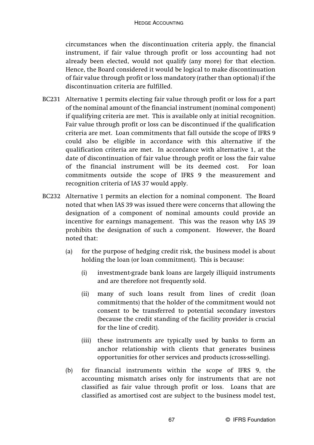circumstances when the discontinuation criteria apply, the financial instrument, if fair value through profit or loss accounting had not already been elected, would not qualify (any more) for that election. Hence, the Board considered it would be logical to make discontinuation of fair value through profit or loss mandatory (rather than optional) if the discontinuation criteria are fulfilled.

- BC231 Alternative 1 permits electing fair value through profit or loss for a part of the nominal amount of the financial instrument (nominal component) if qualifying criteria are met. This is available only at initial recognition. Fair value through profit or loss can be discontinued if the qualification criteria are met. Loan commitments that fall outside the scope of IFRS 9 could also be eligible in accordance with this alternative if the qualification criteria are met. In accordance with alternative 1, at the date of discontinuation of fair value through profit or loss the fair value of the financial instrument will be its deemed cost. For loan commitments outside the scope of IFRS 9 the measurement and recognition criteria of IAS 37 would apply.
- BC232 Alternative 1 permits an election for a nominal component. The Board noted that when IAS 39 was issued there were concerns that allowing the designation of a component of nominal amounts could provide an incentive for earnings management. This was the reason why IAS 39 prohibits the designation of such a component. However, the Board noted that:
	- (a) for the purpose of hedging credit risk, the business model is about holding the loan (or loan commitment). This is because:
		- (i) investment-grade bank loans are largely illiquid instruments and are therefore not frequently sold.
		- (ii) many of such loans result from lines of credit (loan commitments) that the holder of the commitment would not consent to be transferred to potential secondary investors (because the credit standing of the facility provider is crucial for the line of credit).
		- (iii) these instruments are typically used by banks to form an anchor relationship with clients that generates business opportunities for other services and products (cross-selling).
	- (b) for financial instruments within the scope of IFRS 9, the accounting mismatch arises only for instruments that are not classified as fair value through profit or loss. Loans that are classified as amortised cost are subject to the business model test,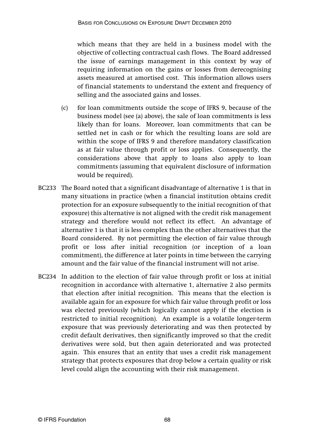which means that they are held in a business model with the objective of collecting contractual cash flows. The Board addressed the issue of earnings management in this context by way of requiring information on the gains or losses from derecognising assets measured at amortised cost. This information allows users of financial statements to understand the extent and frequency of selling and the associated gains and losses.

- (c) for loan commitments outside the scope of IFRS 9, because of the business model (see (a) above), the sale of loan commitments is less likely than for loans. Moreover, loan commitments that can be settled net in cash or for which the resulting loans are sold are within the scope of IFRS 9 and therefore mandatory classification as at fair value through profit or loss applies. Consequently, the considerations above that apply to loans also apply to loan commitments (assuming that equivalent disclosure of information would be required).
- BC233 The Board noted that a significant disadvantage of alternative 1 is that in many situations in practice (when a financial institution obtains credit protection for an exposure subsequently to the initial recognition of that exposure) this alternative is not aligned with the credit risk management strategy and therefore would not reflect its effect. An advantage of alternative 1 is that it is less complex than the other alternatives that the Board considered. By not permitting the election of fair value through profit or loss after initial recognition (or inception of a loan commitment), the difference at later points in time between the carrying amount and the fair value of the financial instrument will not arise.
- BC234 In addition to the election of fair value through profit or loss at initial recognition in accordance with alternative 1, alternative 2 also permits that election after initial recognition. This means that the election is available again for an exposure for which fair value through profit or loss was elected previously (which logically cannot apply if the election is restricted to initial recognition). An example is a volatile longer-term exposure that was previously deteriorating and was then protected by credit default derivatives, then significantly improved so that the credit derivatives were sold, but then again deteriorated and was protected again. This ensures that an entity that uses a credit risk management strategy that protects exposures that drop below a certain quality or risk level could align the accounting with their risk management.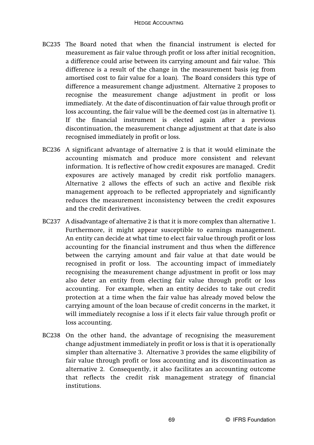- BC235 The Board noted that when the financial instrument is elected for measurement as fair value through profit or loss after initial recognition, a difference could arise between its carrying amount and fair value. This difference is a result of the change in the measurement basis (eg from amortised cost to fair value for a loan). The Board considers this type of difference a measurement change adjustment. Alternative 2 proposes to recognise the measurement change adjustment in profit or loss immediately. At the date of discontinuation of fair value through profit or loss accounting, the fair value will be the deemed cost (as in alternative 1). If the financial instrument is elected again after a previous discontinuation, the measurement change adjustment at that date is also recognised immediately in profit or loss.
- BC236 A significant advantage of alternative 2 is that it would eliminate the accounting mismatch and produce more consistent and relevant information. It is reflective of how credit exposures are managed. Credit exposures are actively managed by credit risk portfolio managers. Alternative 2 allows the effects of such an active and flexible risk management approach to be reflected appropriately and significantly reduces the measurement inconsistency between the credit exposures and the credit derivatives.
- BC237 A disadvantage of alternative 2 is that it is more complex than alternative 1. Furthermore, it might appear susceptible to earnings management. An entity can decide at what time to elect fair value through profit or loss accounting for the financial instrument and thus when the difference between the carrying amount and fair value at that date would be recognised in profit or loss. The accounting impact of immediately recognising the measurement change adjustment in profit or loss may also deter an entity from electing fair value through profit or loss accounting. For example, when an entity decides to take out credit protection at a time when the fair value has already moved below the carrying amount of the loan because of credit concerns in the market, it will immediately recognise a loss if it elects fair value through profit or loss accounting.
- BC238 On the other hand, the advantage of recognising the measurement change adjustment immediately in profit or loss is that it is operationally simpler than alternative 3. Alternative 3 provides the same eligibility of fair value through profit or loss accounting and its discontinuation as alternative 2. Consequently, it also facilitates an accounting outcome that reflects the credit risk management strategy of financial institutions.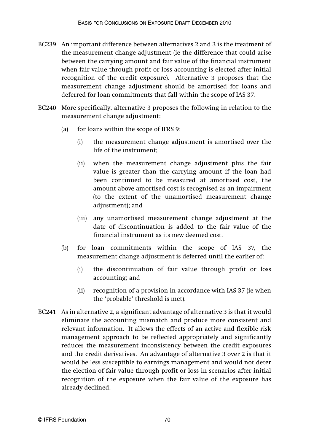- BC239 An important difference between alternatives 2 and 3 is the treatment of the measurement change adjustment (ie the difference that could arise between the carrying amount and fair value of the financial instrument when fair value through profit or loss accounting is elected after initial recognition of the credit exposure). Alternative 3 proposes that the measurement change adjustment should be amortised for loans and deferred for loan commitments that fall within the scope of IAS 37.
- BC240 More specifically, alternative 3 proposes the following in relation to the measurement change adjustment:
	- (a) for loans within the scope of IFRS 9:
		- (i) the measurement change adjustment is amortised over the life of the instrument;
		- (ii) when the measurement change adjustment plus the fair value is greater than the carrying amount if the loan had been continued to be measured at amortised cost, the amount above amortised cost is recognised as an impairment (to the extent of the unamortised measurement change adjustment); and
		- (iii) any unamortised measurement change adjustment at the date of discontinuation is added to the fair value of the financial instrument as its new deemed cost.
	- (b) for loan commitments within the scope of IAS 37, the measurement change adjustment is deferred until the earlier of:
		- (i) the discontinuation of fair value through profit or loss accounting; and
		- (ii) recognition of a provision in accordance with IAS 37 (ie when the 'probable' threshold is met).
- BC241 As in alternative 2, a significant advantage of alternative 3 is that it would eliminate the accounting mismatch and produce more consistent and relevant information. It allows the effects of an active and flexible risk management approach to be reflected appropriately and significantly reduces the measurement inconsistency between the credit exposures and the credit derivatives. An advantage of alternative 3 over 2 is that it would be less susceptible to earnings management and would not deter the election of fair value through profit or loss in scenarios after initial recognition of the exposure when the fair value of the exposure has already declined.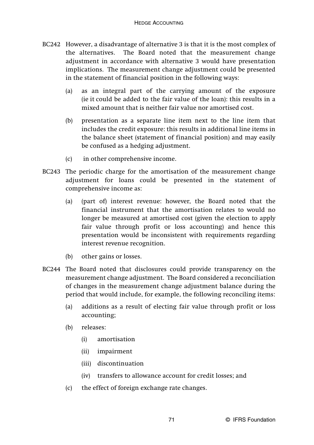- BC242 However, a disadvantage of alternative 3 is that it is the most complex of the alternatives. The Board noted that the measurement change adjustment in accordance with alternative 3 would have presentation implications. The measurement change adjustment could be presented in the statement of financial position in the following ways:
	- (a) as an integral part of the carrying amount of the exposure (ie it could be added to the fair value of the loan): this results in a mixed amount that is neither fair value nor amortised cost.
	- (b) presentation as a separate line item next to the line item that includes the credit exposure: this results in additional line items in the balance sheet (statement of financial position) and may easily be confused as a hedging adjustment.
	- (c) in other comprehensive income.
- BC243 The periodic charge for the amortisation of the measurement change adjustment for loans could be presented in the statement of comprehensive income as:
	- (a) (part of) interest revenue: however, the Board noted that the financial instrument that the amortisation relates to would no longer be measured at amortised cost (given the election to apply fair value through profit or loss accounting) and hence this presentation would be inconsistent with requirements regarding interest revenue recognition.
	- (b) other gains or losses.
- BC244 The Board noted that disclosures could provide transparency on the measurement change adjustment. The Board considered a reconciliation of changes in the measurement change adjustment balance during the period that would include, for example, the following reconciling items:
	- (a) additions as a result of electing fair value through profit or loss accounting;
	- (b) releases:
		- (i) amortisation
		- (ii) impairment
		- (iii) discontinuation
		- (iv) transfers to allowance account for credit losses; and
	- (c) the effect of foreign exchange rate changes.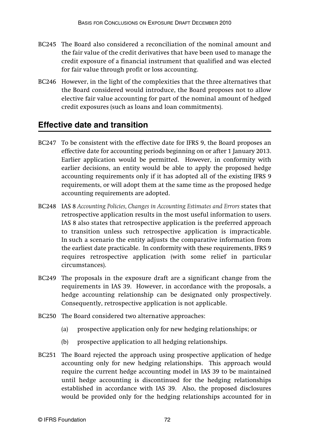- BC245 The Board also considered a reconciliation of the nominal amount and the fair value of the credit derivatives that have been used to manage the credit exposure of a financial instrument that qualified and was elected for fair value through profit or loss accounting.
- BC246 However, in the light of the complexities that the three alternatives that the Board considered would introduce, the Board proposes not to allow elective fair value accounting for part of the nominal amount of hedged credit exposures (such as loans and loan commitments).

#### **Effective date and transition**

- BC247 To be consistent with the effective date for IFRS 9, the Board proposes an effective date for accounting periods beginning on or after 1 January 2013. Earlier application would be permitted. However, in conformity with earlier decisions, an entity would be able to apply the proposed hedge accounting requirements only if it has adopted all of the existing IFRS 9 requirements, or will adopt them at the same time as the proposed hedge accounting requirements are adopted.
- BC248 IAS 8 *Accounting Policies, Changes in Accounting Estimates and Errors* states that retrospective application results in the most useful information to users. IAS 8 also states that retrospective application is the preferred approach to transition unless such retrospective application is impracticable. In such a scenario the entity adjusts the comparative information from the earliest date practicable. In conformity with these requirements, IFRS 9 requires retrospective application (with some relief in particular circumstances).
- BC249 The proposals in the exposure draft are a significant change from the requirements in IAS 39. However, in accordance with the proposals, a hedge accounting relationship can be designated only prospectively. Consequently, retrospective application is not applicable.
- BC250 The Board considered two alternative approaches:
	- (a) prospective application only for new hedging relationships; or
	- (b) prospective application to all hedging relationships.
- BC251 The Board rejected the approach using prospective application of hedge accounting only for new hedging relationships. This approach would require the current hedge accounting model in IAS 39 to be maintained until hedge accounting is discontinued for the hedging relationships established in accordance with IAS 39. Also, the proposed disclosures would be provided only for the hedging relationships accounted for in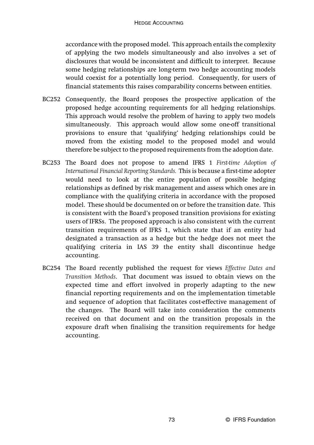accordance with the proposed model. This approach entails the complexity of applying the two models simultaneously and also involves a set of disclosures that would be inconsistent and difficult to interpret. Because some hedging relationships are long-term two hedge accounting models would coexist for a potentially long period. Consequently, for users of financial statements this raises comparability concerns between entities.

- BC252 Consequently, the Board proposes the prospective application of the proposed hedge accounting requirements for all hedging relationships. This approach would resolve the problem of having to apply two models simultaneously. This approach would allow some one-off transitional provisions to ensure that 'qualifying' hedging relationships could be moved from the existing model to the proposed model and would therefore be subject to the proposed requirements from the adoption date.
- BC253 The Board does not propose to amend IFRS 1 *First-time Adoption of International Financial Reporting Standards.* This is because a first-time adopter would need to look at the entire population of possible hedging relationships as defined by risk management and assess which ones are in compliance with the qualifying criteria in accordance with the proposed model. These should be documented on or before the transition date. This is consistent with the Board's proposed transition provisions for existing users of IFRSs. The proposed approach is also consistent with the current transition requirements of IFRS 1, which state that if an entity had designated a transaction as a hedge but the hedge does not meet the qualifying criteria in IAS 39 the entity shall discontinue hedge accounting.
- BC254 The Board recently published the request for views *Effective Dates and Transition Methods*. That document was issued to obtain views on the expected time and effort involved in properly adapting to the new financial reporting requirements and on the implementation timetable and sequence of adoption that facilitates cost-effective management of the changes. The Board will take into consideration the comments received on that document and on the transition proposals in the exposure draft when finalising the transition requirements for hedge accounting.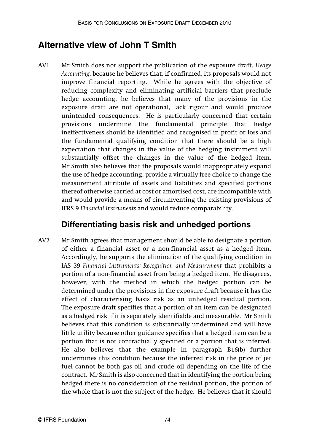# **Alternative view of John T Smith**

AV1 Mr Smith does not support the publication of the exposure draft, *Hedge Accounting,* because he believes that, if confirmed, its proposals would not improve financial reporting. While he agrees with the objective of reducing complexity and eliminating artificial barriers that preclude hedge accounting, he believes that many of the provisions in the exposure draft are not operational, lack rigour and would produce unintended consequences. He is particularly concerned that certain provisions undermine the fundamental principle that hedge ineffectiveness should be identified and recognised in profit or loss and the fundamental qualifying condition that there should be a high expectation that changes in the value of the hedging instrument will substantially offset the changes in the value of the hedged item. Mr Smith also believes that the proposals would inappropriately expand the use of hedge accounting, provide a virtually free choice to change the measurement attribute of assets and liabilities and specified portions thereof otherwise carried at cost or amortised cost, are incompatible with and would provide a means of circumventing the existing provisions of IFRS 9 *Financial Instruments* and would reduce comparability.

### **Differentiating basis risk and unhedged portions**

AV2 Mr Smith agrees that management should be able to designate a portion of either a financial asset or a non-financial asset as a hedged item. Accordingly, he supports the elimination of the qualifying condition in IAS 39 *Financial Instruments: Recognition and Measurement* that prohibits a portion of a non-financial asset from being a hedged item. He disagrees, however, with the method in which the hedged portion can be determined under the provisions in the exposure draft because it has the effect of characterising basis risk as an unhedged residual portion. The exposure draft specifies that a portion of an item can be designated as a hedged risk if it is separately identifiable and measurable. Mr Smith believes that this condition is substantially undermined and will have little utility because other guidance specifies that a hedged item can be a portion that is not contractually specified or a portion that is inferred. He also believes that the example in paragraph B16(b) further undermines this condition because the inferred risk in the price of jet fuel cannot be both gas oil and crude oil depending on the life of the contract. Mr Smith is also concerned that in identifying the portion being hedged there is no consideration of the residual portion, the portion of the whole that is not the subject of the hedge. He believes that it should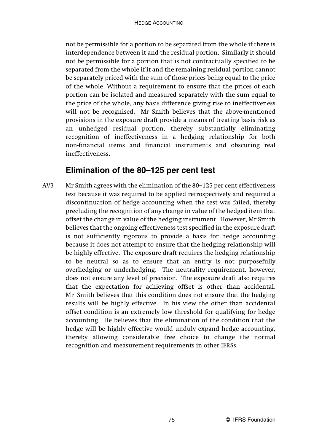not be permissible for a portion to be separated from the whole if there is interdependence between it and the residual portion. Similarly it should not be permissible for a portion that is not contractually specified to be separated from the whole if it and the remaining residual portion cannot be separately priced with the sum of those prices being equal to the price of the whole. Without a requirement to ensure that the prices of each portion can be isolated and measured separately with the sum equal to the price of the whole, any basis difference giving rise to ineffectiveness will not be recognised. Mr Smith believes that the above-mentioned provisions in the exposure draft provide a means of treating basis risk as an unhedged residual portion, thereby substantially eliminating recognition of ineffectiveness in a hedging relationship for both non-financial items and financial instruments and obscuring real ineffectiveness.

#### **Elimination of the 80–125 per cent test**

AV3 Mr Smith agrees with the elimination of the 80–125 per cent effectiveness test because it was required to be applied retrospectively and required a discontinuation of hedge accounting when the test was failed, thereby precluding the recognition of any change in value of the hedged item that offset the change in value of the hedging instrument. However, Mr Smith believes that the ongoing effectiveness test specified in the exposure draft is not sufficiently rigorous to provide a basis for hedge accounting because it does not attempt to ensure that the hedging relationship will be highly effective. The exposure draft requires the hedging relationship to be neutral so as to ensure that an entity is not purposefully overhedging or underhedging. The neutrality requirement, however, does not ensure any level of precision. The exposure draft also requires that the expectation for achieving offset is other than accidental. Mr Smith believes that this condition does not ensure that the hedging results will be highly effective. In his view the other than accidental offset condition is an extremely low threshold for qualifying for hedge accounting. He believes that the elimination of the condition that the hedge will be highly effective would unduly expand hedge accounting, thereby allowing considerable free choice to change the normal recognition and measurement requirements in other IFRSs.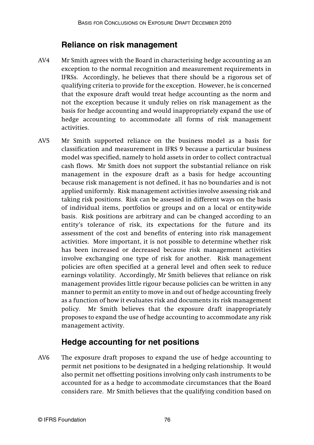#### **Reliance on risk management**

- AV4 Mr Smith agrees with the Board in characterising hedge accounting as an exception to the normal recognition and measurement requirements in IFRSs. Accordingly, he believes that there should be a rigorous set of qualifying criteria to provide for the exception. However, he is concerned that the exposure draft would treat hedge accounting as the norm and not the exception because it unduly relies on risk management as the basis for hedge accounting and would inappropriately expand the use of hedge accounting to accommodate all forms of risk management activities.
- AV5 Mr Smith supported reliance on the business model as a basis for classification and measurement in IFRS 9 because a particular business model was specified, namely to hold assets in order to collect contractual cash flows. Mr Smith does not support the substantial reliance on risk management in the exposure draft as a basis for hedge accounting because risk management is not defined, it has no boundaries and is not applied uniformly. Risk management activities involve assessing risk and taking risk positions. Risk can be assessed in different ways on the basis of individual items, portfolios or groups and on a local or entity-wide basis. Risk positions are arbitrary and can be changed according to an entity's tolerance of risk, its expectations for the future and its assessment of the cost and benefits of entering into risk management activities. More important, it is not possible to determine whether risk has been increased or decreased because risk management activities involve exchanging one type of risk for another. Risk management policies are often specified at a general level and often seek to reduce earnings volatility. Accordingly, Mr Smith believes that reliance on risk management provides little rigour because policies can be written in any manner to permit an entity to move in and out of hedge accounting freely as a function of how it evaluates risk and documents its risk management policy. Mr Smith believes that the exposure draft inappropriately proposes to expand the use of hedge accounting to accommodate any risk management activity.

#### **Hedge accounting for net positions**

AV6 The exposure draft proposes to expand the use of hedge accounting to permit net positions to be designated in a hedging relationship. It would also permit net offsetting positions involving only cash instruments to be accounted for as a hedge to accommodate circumstances that the Board considers rare. Mr Smith believes that the qualifying condition based on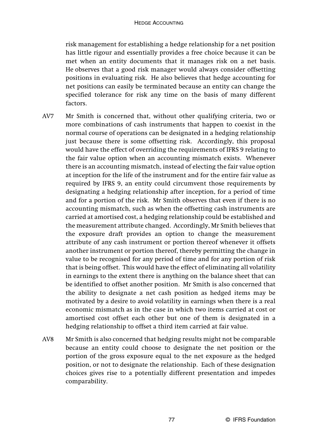risk management for establishing a hedge relationship for a net position has little rigour and essentially provides a free choice because it can be met when an entity documents that it manages risk on a net basis. He observes that a good risk manager would always consider offsetting positions in evaluating risk. He also believes that hedge accounting for net positions can easily be terminated because an entity can change the specified tolerance for risk any time on the basis of many different factors.

- AV7 Mr Smith is concerned that, without other qualifying criteria, two or more combinations of cash instruments that happen to coexist in the normal course of operations can be designated in a hedging relationship just because there is some offsetting risk. Accordingly, this proposal would have the effect of overriding the requirements of IFRS 9 relating to the fair value option when an accounting mismatch exists. Whenever there is an accounting mismatch, instead of electing the fair value option at inception for the life of the instrument and for the entire fair value as required by IFRS 9, an entity could circumvent those requirements by designating a hedging relationship after inception, for a period of time and for a portion of the risk. Mr Smith observes that even if there is no accounting mismatch, such as when the offsetting cash instruments are carried at amortised cost, a hedging relationship could be established and the measurement attribute changed. Accordingly, Mr Smith believes that the exposure draft provides an option to change the measurement attribute of any cash instrument or portion thereof whenever it offsets another instrument or portion thereof, thereby permitting the change in value to be recognised for any period of time and for any portion of risk that is being offset. This would have the effect of eliminating all volatility in earnings to the extent there is anything on the balance sheet that can be identified to offset another position. Mr Smith is also concerned that the ability to designate a net cash position as hedged items may be motivated by a desire to avoid volatility in earnings when there is a real economic mismatch as in the case in which two items carried at cost or amortised cost offset each other but one of them is designated in a hedging relationship to offset a third item carried at fair value.
- AV8 Mr Smith is also concerned that hedging results might not be comparable because an entity could choose to designate the net position or the portion of the gross exposure equal to the net exposure as the hedged position, or not to designate the relationship. Each of these designation choices gives rise to a potentially different presentation and impedes comparability.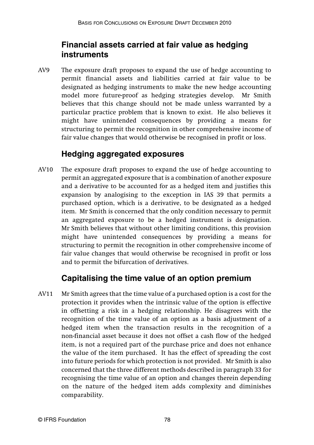### **Financial assets carried at fair value as hedging instruments**

AV9 The exposure draft proposes to expand the use of hedge accounting to permit financial assets and liabilities carried at fair value to be designated as hedging instruments to make the new hedge accounting model more future-proof as hedging strategies develop. Mr Smith believes that this change should not be made unless warranted by a particular practice problem that is known to exist. He also believes it might have unintended consequences by providing a means for structuring to permit the recognition in other comprehensive income of fair value changes that would otherwise be recognised in profit or loss.

#### **Hedging aggregated exposures**

AV10 The exposure draft proposes to expand the use of hedge accounting to permit an aggregated exposure that is a combination of another exposure and a derivative to be accounted for as a hedged item and justifies this expansion by analogising to the exception in IAS 39 that permits a purchased option, which is a derivative, to be designated as a hedged item. Mr Smith is concerned that the only condition necessary to permit an aggregated exposure to be a hedged instrument is designation. Mr Smith believes that without other limiting conditions, this provision might have unintended consequences by providing a means for structuring to permit the recognition in other comprehensive income of fair value changes that would otherwise be recognised in profit or loss and to permit the bifurcation of derivatives.

#### **Capitalising the time value of an option premium**

AV11 Mr Smith agrees that the time value of a purchased option is a cost for the protection it provides when the intrinsic value of the option is effective in offsetting a risk in a hedging relationship. He disagrees with the recognition of the time value of an option as a basis adjustment of a hedged item when the transaction results in the recognition of a non-financial asset because it does not offset a cash flow of the hedged item, is not a required part of the purchase price and does not enhance the value of the item purchased. It has the effect of spreading the cost into future periods for which protection is not provided. Mr Smith is also concerned that the three different methods described in paragraph 33 for recognising the time value of an option and changes therein depending on the nature of the hedged item adds complexity and diminishes comparability.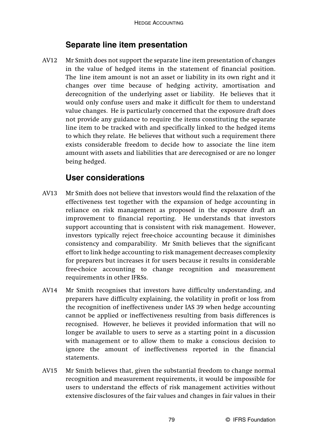### **Separate line item presentation**

AV12 Mr Smith does not support the separate line item presentation of changes in the value of hedged items in the statement of financial position. The line item amount is not an asset or liability in its own right and it changes over time because of hedging activity, amortisation and derecognition of the underlying asset or liability. He believes that it would only confuse users and make it difficult for them to understand value changes. He is particularly concerned that the exposure draft does not provide any guidance to require the items constituting the separate line item to be tracked with and specifically linked to the hedged items to which they relate. He believes that without such a requirement there exists considerable freedom to decide how to associate the line item amount with assets and liabilities that are derecognised or are no longer being hedged.

#### **User considerations**

- AV13 Mr Smith does not believe that investors would find the relaxation of the effectiveness test together with the expansion of hedge accounting in reliance on risk management as proposed in the exposure draft an improvement to financial reporting. He understands that investors support accounting that is consistent with risk management. However, investors typically reject free-choice accounting because it diminishes consistency and comparability. Mr Smith believes that the significant effort to link hedge accounting to risk management decreases complexity for preparers but increases it for users because it results in considerable free-choice accounting to change recognition and measurement requirements in other IFRSs.
- AV14 Mr Smith recognises that investors have difficulty understanding, and preparers have difficulty explaining, the volatility in profit or loss from the recognition of ineffectiveness under IAS 39 when hedge accounting cannot be applied or ineffectiveness resulting from basis differences is recognised. However, he believes it provided information that will no longer be available to users to serve as a starting point in a discussion with management or to allow them to make a conscious decision to ignore the amount of ineffectiveness reported in the financial statements.
- AV15 Mr Smith believes that, given the substantial freedom to change normal recognition and measurement requirements, it would be impossible for users to understand the effects of risk management activities without extensive disclosures of the fair values and changes in fair values in their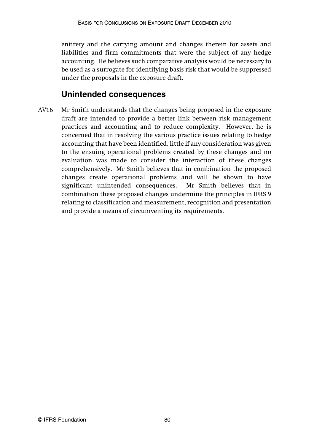entirety and the carrying amount and changes therein for assets and liabilities and firm commitments that were the subject of any hedge accounting. He believes such comparative analysis would be necessary to be used as a surrogate for identifying basis risk that would be suppressed under the proposals in the exposure draft.

#### **Unintended consequences**

AV16 Mr Smith understands that the changes being proposed in the exposure draft are intended to provide a better link between risk management practices and accounting and to reduce complexity. However, he is concerned that in resolving the various practice issues relating to hedge accounting that have been identified, little if any consideration was given to the ensuing operational problems created by these changes and no evaluation was made to consider the interaction of these changes comprehensively. Mr Smith believes that in combination the proposed changes create operational problems and will be shown to have significant unintended consequences. Mr Smith believes that in combination these proposed changes undermine the principles in IFRS 9 relating to classification and measurement, recognition and presentation and provide a means of circumventing its requirements.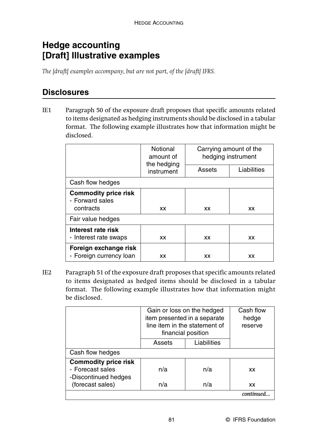# **Hedge accounting [Draft] Illustrative examples**

*The [draft] examples accompany, but are not part, of the [draft] IFRS.*

## **Disclosures**

IE1 Paragraph 50 of the exposure draft proposes that specific amounts related to items designated as hedging instruments should be disclosed in a tabular format. The following example illustrates how that information might be disclosed.

|                                                             | Notional<br>amount of<br>the hedging<br>instrument | Carrying amount of the<br>hedging instrument |             |  |
|-------------------------------------------------------------|----------------------------------------------------|----------------------------------------------|-------------|--|
|                                                             |                                                    | Assets                                       | Liabilities |  |
| Cash flow hedges                                            |                                                    |                                              |             |  |
| <b>Commodity price risk</b><br>- Forward sales<br>contracts | ХX                                                 | XX                                           | ХX          |  |
| Fair value hedges                                           |                                                    |                                              |             |  |
| Interest rate risk<br>- Interest rate swaps                 | ХX                                                 | XX                                           | ХX          |  |
| Foreign exchange risk<br>- Foreign currency loan            | ХX                                                 | xх                                           | xх          |  |

IE2 Paragraph 51 of the exposure draft proposes that specific amounts related to items designated as hedged items should be disclosed in a tabular format. The following example illustrates how that information might be disclosed.

|                                                                         | Gain or loss on the hedged<br>item presented in a separate<br>line item in the statement of<br>financial position | Cash flow<br>hedge<br>reserve |            |
|-------------------------------------------------------------------------|-------------------------------------------------------------------------------------------------------------------|-------------------------------|------------|
|                                                                         | Assets                                                                                                            | Liabilities                   |            |
| Cash flow hedges                                                        |                                                                                                                   |                               |            |
| <b>Commodity price risk</b><br>- Forecast sales<br>-Discontinued hedges | n/a                                                                                                               | n/a                           | ХX         |
| (forecast sales)                                                        | n/a                                                                                                               | n/a                           | ХX         |
|                                                                         |                                                                                                                   |                               | continued. |